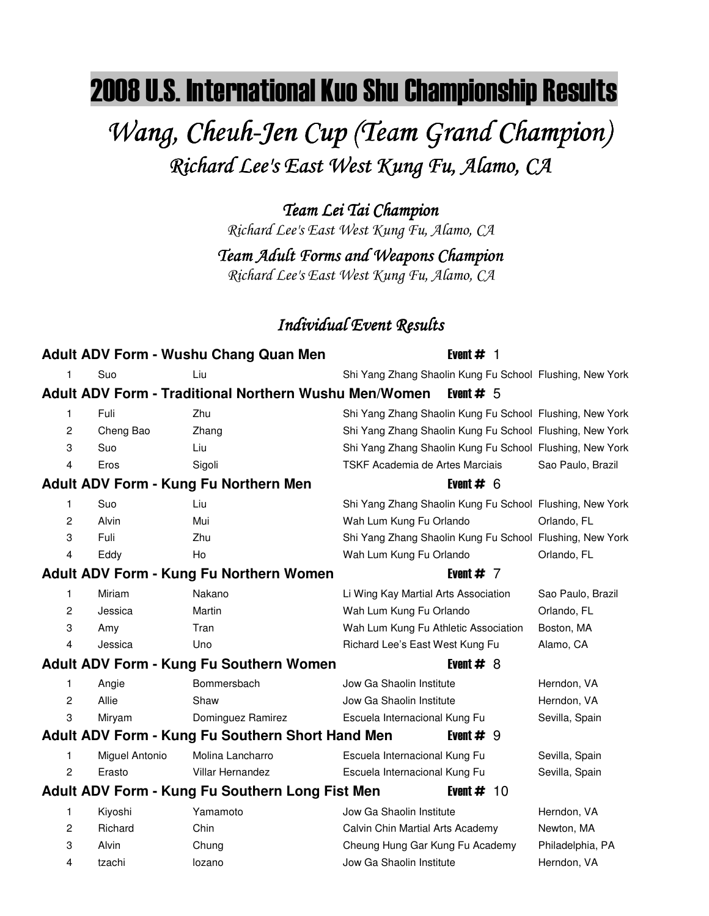# 2008 U.S. International Kuo Shu Championship Results

# Wang, Cheuh-Jen Cup (Team Grand Champion) Richard Lee's East West Kung Fu, Alamo, CA

Team Lei Tai Champion Richard Lee's East West Kung Fu, Alamo, CA

Team Adult Forms and Weapons Champion

Richard Lee's East West Kung Fu, Alamo, CA

# Individual Event Results

|                |                | <b>Adult ADV Form - Wushu Chang Quan Men</b>                 | Event $#$ 1                                              |                   |
|----------------|----------------|--------------------------------------------------------------|----------------------------------------------------------|-------------------|
| 1              | Suo            | Liu                                                          | Shi Yang Zhang Shaolin Kung Fu School Flushing, New York |                   |
|                |                | <b>Adult ADV Form - Traditional Northern Wushu Men/Women</b> | Event $# 5$                                              |                   |
| 1              | Fuli           | Zhu                                                          | Shi Yang Zhang Shaolin Kung Fu School Flushing, New York |                   |
| $\overline{c}$ | Cheng Bao      | Zhang                                                        | Shi Yang Zhang Shaolin Kung Fu School Flushing, New York |                   |
| 3              | Suo            | Liu                                                          | Shi Yang Zhang Shaolin Kung Fu School Flushing, New York |                   |
| 4              | Eros           | Sigoli                                                       | TSKF Academia de Artes Marciais                          | Sao Paulo, Brazil |
|                |                | Adult ADV Form - Kung Fu Northern Men                        | Event $# 6$                                              |                   |
| 1              | Suo            | Liu                                                          | Shi Yang Zhang Shaolin Kung Fu School Flushing, New York |                   |
| $\overline{c}$ | Alvin          | Mui                                                          | Wah Lum Kung Fu Orlando                                  | Orlando, FL       |
| 3              | Fuli           | Zhu                                                          | Shi Yang Zhang Shaolin Kung Fu School Flushing, New York |                   |
| 4              | Eddy           | Ho                                                           | Wah Lum Kung Fu Orlando                                  | Orlando, FL       |
|                |                | Adult ADV Form - Kung Fu Northern Women                      | Event $# 7$                                              |                   |
| 1              | Miriam         | Nakano                                                       | Li Wing Kay Martial Arts Association                     | Sao Paulo, Brazil |
| $\overline{c}$ | Jessica        | Martin                                                       | Wah Lum Kung Fu Orlando                                  | Orlando, FL       |
| 3              | Amy            | Tran                                                         | Wah Lum Kung Fu Athletic Association                     | Boston, MA        |
| 4              | Jessica        | Uno                                                          | Richard Lee's East West Kung Fu                          | Alamo, CA         |
|                |                | Adult ADV Form - Kung Fu Southern Women                      | Event $#8$                                               |                   |
| 1              | Angie          | Bommersbach                                                  | Jow Ga Shaolin Institute                                 | Herndon, VA       |
| 2              | Allie          | Shaw                                                         | Jow Ga Shaolin Institute                                 | Herndon, VA       |
| 3              | Miryam         | Dominguez Ramirez                                            | Escuela Internacional Kung Fu                            | Sevilla, Spain    |
|                |                | Adult ADV Form - Kung Fu Southern Short Hand Men             | Event $# 9$                                              |                   |
| 1              | Miguel Antonio | Molina Lancharro                                             | Escuela Internacional Kung Fu                            | Sevilla, Spain    |
| $\overline{c}$ | Erasto         | Villar Hernandez                                             | Escuela Internacional Kung Fu                            | Sevilla, Spain    |
|                |                | Adult ADV Form - Kung Fu Southern Long Fist Men              | Event #<br>-10                                           |                   |
| 1              | Kiyoshi        | Yamamoto                                                     | Jow Ga Shaolin Institute                                 | Herndon, VA       |
| $\overline{c}$ | Richard        | Chin                                                         | Calvin Chin Martial Arts Academy                         | Newton, MA        |
| 3              | Alvin          | Chung                                                        | Cheung Hung Gar Kung Fu Academy                          | Philadelphia, PA  |
| 4              | tzachi         | lozano                                                       | Jow Ga Shaolin Institute                                 | Herndon, VA       |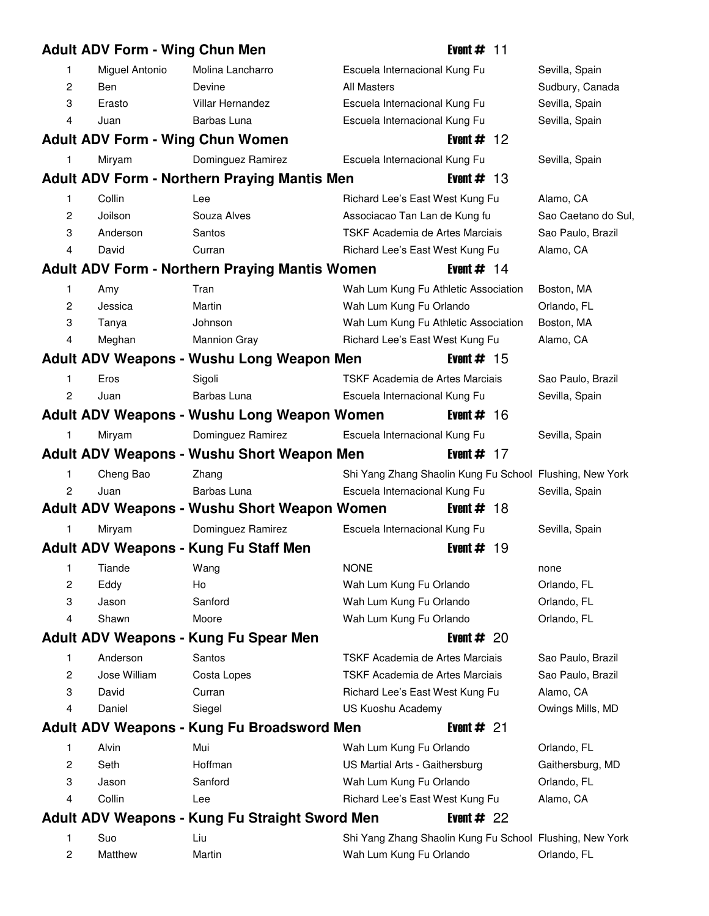|                | <b>Adult ADV Form - Wing Chun Men</b> |                                                       | Event #<br>$11$                                          |                     |
|----------------|---------------------------------------|-------------------------------------------------------|----------------------------------------------------------|---------------------|
| 1              | Miguel Antonio                        | Molina Lancharro                                      | Escuela Internacional Kung Fu                            | Sevilla, Spain      |
| $\overline{c}$ | <b>Ben</b>                            | Devine                                                | All Masters                                              | Sudbury, Canada     |
| 3              | Erasto                                | <b>Villar Hernandez</b>                               | Escuela Internacional Kung Fu                            | Sevilla, Spain      |
| 4              | Juan                                  | Barbas Luna                                           | Escuela Internacional Kung Fu                            | Sevilla, Spain      |
|                |                                       | <b>Adult ADV Form - Wing Chun Women</b>               | Event $#$ 12                                             |                     |
| 1.             | Miryam                                | Dominguez Ramirez                                     | Escuela Internacional Kung Fu                            | Sevilla, Spain      |
|                |                                       | <b>Adult ADV Form - Northern Praying Mantis Men</b>   | Event $#$ 13                                             |                     |
| 1              | Collin                                | Lee                                                   | Richard Lee's East West Kung Fu                          | Alamo, CA           |
| 2              | Joilson                               | Souza Alves                                           | Associacao Tan Lan de Kung fu                            | Sao Caetano do Sul, |
| 3              | Anderson                              | Santos                                                | TSKF Academia de Artes Marciais                          | Sao Paulo, Brazil   |
| 4              | David                                 | Curran                                                | Richard Lee's East West Kung Fu                          | Alamo, CA           |
|                |                                       | <b>Adult ADV Form - Northern Praying Mantis Women</b> | Event $# 14$                                             |                     |
| 1              | Amy                                   | Tran                                                  | Wah Lum Kung Fu Athletic Association                     | Boston, MA          |
| 2              | Jessica                               | Martin                                                | Wah Lum Kung Fu Orlando                                  | Orlando, FL         |
| 3              | Tanya                                 | Johnson                                               | Wah Lum Kung Fu Athletic Association                     | Boston, MA          |
| $\overline{4}$ | Meghan                                | <b>Mannion Gray</b>                                   | Richard Lee's East West Kung Fu                          | Alamo, CA           |
|                |                                       | Adult ADV Weapons - Wushu Long Weapon Men             | Event $#$ 15                                             |                     |
| 1              | Eros                                  | Sigoli                                                | TSKF Academia de Artes Marciais                          | Sao Paulo, Brazil   |
| 2              | Juan                                  | Barbas Luna                                           | Escuela Internacional Kung Fu                            | Sevilla, Spain      |
|                |                                       | Adult ADV Weapons - Wushu Long Weapon Women           | Event #<br>-16                                           |                     |
| 1              | Miryam                                | Dominguez Ramirez                                     | Escuela Internacional Kung Fu                            | Sevilla, Spain      |
|                |                                       | Adult ADV Weapons - Wushu Short Weapon Men            | Event $# 17$                                             |                     |
| 1              | Cheng Bao                             | Zhang                                                 | Shi Yang Zhang Shaolin Kung Fu School Flushing, New York |                     |
| 2              | Juan                                  | Barbas Luna                                           | Escuela Internacional Kung Fu                            | Sevilla, Spain      |
|                |                                       | <b>Adult ADV Weapons - Wushu Short Weapon Women</b>   | Event $# 18$                                             |                     |
| 1              | Miryam                                | Dominguez Ramirez                                     | Escuela Internacional Kung Fu                            | Sevilla, Spain      |
|                |                                       | Adult ADV Weapons - Kung Fu Staff Men                 | Event $# 19$                                             |                     |
| 1              | Tiande                                | Wang                                                  | <b>NONE</b>                                              | none                |
| 2              | Eddy                                  | Ho                                                    | Wah Lum Kung Fu Orlando                                  | Orlando, FL         |
| 3              | Jason                                 | Sanford                                               | Wah Lum Kung Fu Orlando                                  | Orlando, FL         |
| 4              | Shawn                                 | Moore                                                 | Wah Lum Kung Fu Orlando                                  | Orlando, FL         |
|                |                                       | Adult ADV Weapons - Kung Fu Spear Men                 | Event $#20$                                              |                     |
| 1              | Anderson                              | Santos                                                | TSKF Academia de Artes Marciais                          | Sao Paulo, Brazil   |
| 2              | Jose William                          | Costa Lopes                                           | TSKF Academia de Artes Marciais                          | Sao Paulo, Brazil   |
| 3              | David                                 | Curran                                                | Richard Lee's East West Kung Fu                          | Alamo, CA           |
| 4              | Daniel                                | Siegel                                                | US Kuoshu Academy                                        | Owings Mills, MD    |
|                |                                       | Adult ADV Weapons - Kung Fu Broadsword Men            | Event $#21$                                              |                     |
| 1              | Alvin                                 | Mui                                                   | Wah Lum Kung Fu Orlando                                  | Orlando, FL         |
| 2              | Seth                                  | Hoffman                                               | US Martial Arts - Gaithersburg                           | Gaithersburg, MD    |
| 3              | Jason                                 | Sanford                                               | Wah Lum Kung Fu Orlando                                  | Orlando, FL         |
| 4              | Collin                                | Lee                                                   | Richard Lee's East West Kung Fu                          | Alamo, CA           |
|                |                                       | Adult ADV Weapons - Kung Fu Straight Sword Men        | Event $#22$                                              |                     |
| 1              | Suo                                   | Liu                                                   | Shi Yang Zhang Shaolin Kung Fu School Flushing, New York |                     |
| 2              | Matthew                               | Martin                                                | Wah Lum Kung Fu Orlando                                  | Orlando, FL         |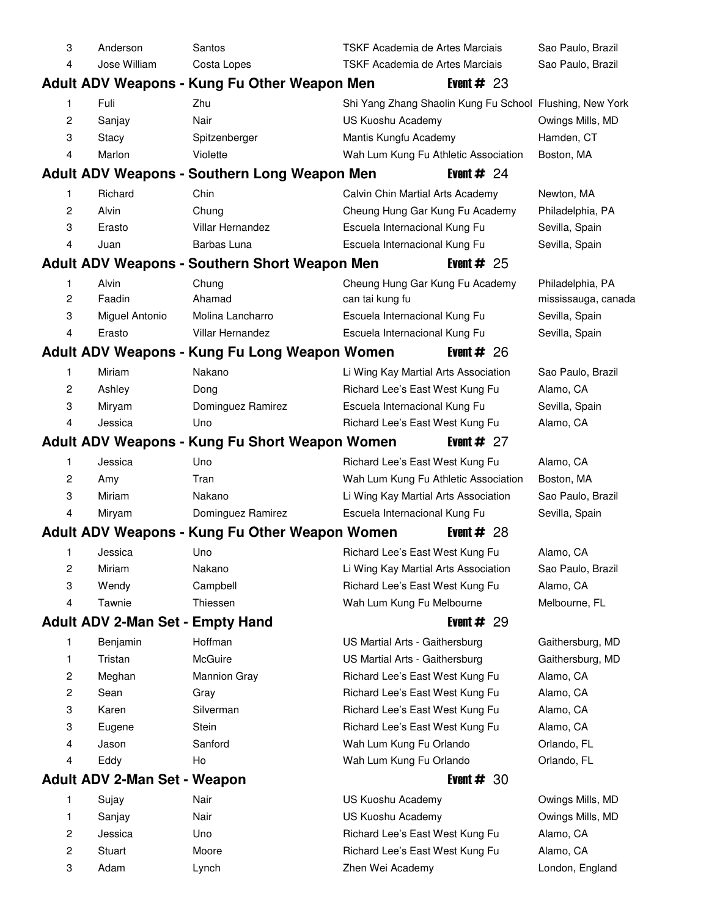| 3              | Anderson                                | Santos                                               | TSKF Academia de Artes Marciais                          |               | Sao Paulo, Brazil   |
|----------------|-----------------------------------------|------------------------------------------------------|----------------------------------------------------------|---------------|---------------------|
| 4              | Jose William                            | Costa Lopes                                          | TSKF Academia de Artes Marciais                          |               | Sao Paulo, Brazil   |
|                |                                         | Adult ADV Weapons - Kung Fu Other Weapon Men         |                                                          | Event $#23$   |                     |
| 1              | Fuli                                    | Zhu                                                  | Shi Yang Zhang Shaolin Kung Fu School Flushing, New York |               |                     |
| 2              | Sanjay                                  | Nair                                                 | US Kuoshu Academy                                        |               | Owings Mills, MD    |
| 3              | Stacy                                   | Spitzenberger                                        | Mantis Kungfu Academy                                    |               | Hamden, CT          |
| 4              | Marlon                                  | Violette                                             | Wah Lum Kung Fu Athletic Association                     |               | Boston, MA          |
|                |                                         | <b>Adult ADV Weapons - Southern Long Weapon Men</b>  |                                                          | Event $#24$   |                     |
| 1              | Richard                                 | Chin                                                 | Calvin Chin Martial Arts Academy                         |               | Newton, MA          |
| 2              | Alvin                                   | Chung                                                | Cheung Hung Gar Kung Fu Academy                          |               | Philadelphia, PA    |
| 3              | Erasto                                  | Villar Hernandez                                     | Escuela Internacional Kung Fu                            |               | Sevilla, Spain      |
| 4              | Juan                                    | Barbas Luna                                          | Escuela Internacional Kung Fu                            |               | Sevilla, Spain      |
|                |                                         | <b>Adult ADV Weapons - Southern Short Weapon Men</b> |                                                          | Event $#25$   |                     |
| 1              | Alvin                                   | Chung                                                | Cheung Hung Gar Kung Fu Academy                          |               | Philadelphia, PA    |
| $\overline{c}$ | Faadin                                  | Ahamad                                               | can tai kung fu                                          |               | mississauga, canada |
| 3              | Miguel Antonio                          | Molina Lancharro                                     | Escuela Internacional Kung Fu                            |               | Sevilla, Spain      |
| 4              | Erasto                                  | Villar Hernandez                                     | Escuela Internacional Kung Fu                            |               | Sevilla, Spain      |
|                |                                         | Adult ADV Weapons - Kung Fu Long Weapon Women        |                                                          | Event $\#$ 26 |                     |
| 1              | Miriam                                  | Nakano                                               | Li Wing Kay Martial Arts Association                     |               | Sao Paulo, Brazil   |
| 2              | Ashley                                  | Dong                                                 | Richard Lee's East West Kung Fu                          |               | Alamo, CA           |
| 3              | Miryam                                  | Dominguez Ramirez                                    | Escuela Internacional Kung Fu                            |               | Sevilla, Spain      |
| 4              | Jessica                                 | Uno                                                  | Richard Lee's East West Kung Fu                          |               | Alamo, CA           |
|                |                                         | Adult ADV Weapons - Kung Fu Short Weapon Women       |                                                          | Event $#27$   |                     |
| 1              | Jessica                                 | Uno                                                  | Richard Lee's East West Kung Fu                          |               | Alamo, CA           |
| 2              | Amy                                     | Tran                                                 | Wah Lum Kung Fu Athletic Association                     |               | Boston, MA          |
| 3              | Miriam                                  | Nakano                                               | Li Wing Kay Martial Arts Association                     |               | Sao Paulo, Brazil   |
| 4              | Miryam                                  | Dominguez Ramirez                                    | Escuela Internacional Kung Fu                            |               | Sevilla, Spain      |
|                |                                         | Adult ADV Weapons - Kung Fu Other Weapon Women       |                                                          | Event $#28$   |                     |
| 1              | Jessica                                 | Uno                                                  | Richard Lee's East West Kung Fu                          |               | Alamo, CA           |
| 2              | Miriam                                  | Nakano                                               | Li Wing Kay Martial Arts Association                     |               | Sao Paulo, Brazil   |
| 3              | Wendy                                   | Campbell                                             | Richard Lee's East West Kung Fu                          |               | Alamo, CA           |
| 4              | Tawnie                                  | Thiessen                                             | Wah Lum Kung Fu Melbourne                                |               | Melbourne, FL       |
|                | <b>Adult ADV 2-Man Set - Empty Hand</b> |                                                      |                                                          | Event $#29$   |                     |
| 1              | Benjamin                                | Hoffman                                              | US Martial Arts - Gaithersburg                           |               | Gaithersburg, MD    |
| 1              | Tristan                                 | McGuire                                              | US Martial Arts - Gaithersburg                           |               | Gaithersburg, MD    |
| 2              | Meghan                                  | <b>Mannion Gray</b>                                  | Richard Lee's East West Kung Fu                          |               | Alamo, CA           |
| $\overline{c}$ | Sean                                    | Gray                                                 | Richard Lee's East West Kung Fu                          |               | Alamo, CA           |
| 3              | Karen                                   | Silverman                                            | Richard Lee's East West Kung Fu                          |               | Alamo, CA           |
| 3              | Eugene                                  | Stein                                                | Richard Lee's East West Kung Fu                          |               | Alamo, CA           |
| 4              | Jason                                   | Sanford                                              | Wah Lum Kung Fu Orlando                                  |               | Orlando, FL         |
| 4              | Eddy                                    | Ho                                                   | Wah Lum Kung Fu Orlando                                  |               | Orlando, FL         |
|                | <b>Adult ADV 2-Man Set - Weapon</b>     |                                                      |                                                          | Event $# 30$  |                     |
| 1              | Sujay                                   | Nair                                                 | US Kuoshu Academy                                        |               | Owings Mills, MD    |
| 1              | Sanjay                                  | Nair                                                 | US Kuoshu Academy                                        |               | Owings Mills, MD    |
| 2              | Jessica                                 | Uno                                                  | Richard Lee's East West Kung Fu                          |               | Alamo, CA           |
| 2              | Stuart                                  | Moore                                                | Richard Lee's East West Kung Fu                          |               | Alamo, CA           |
| 3              | Adam                                    | Lynch                                                | Zhen Wei Academy                                         |               | London, England     |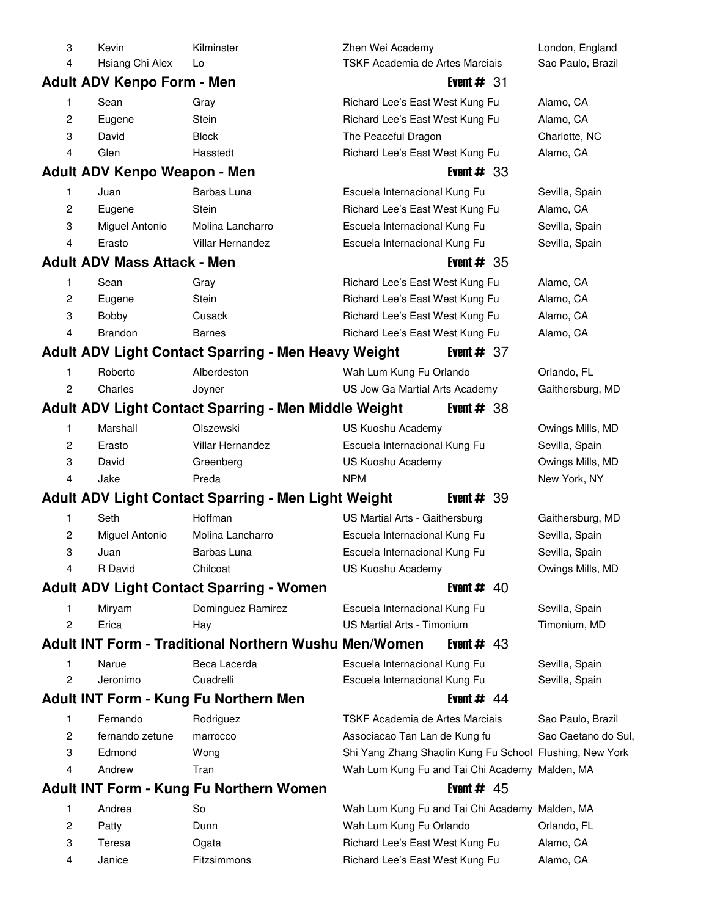| 3  | Kevin                               | Kilminster                                                   | Zhen Wei Academy                                         | London, England     |
|----|-------------------------------------|--------------------------------------------------------------|----------------------------------------------------------|---------------------|
| 4  | Hsiang Chi Alex                     | Lo                                                           | TSKF Academia de Artes Marciais                          | Sao Paulo, Brazil   |
|    | <b>Adult ADV Kenpo Form - Men</b>   |                                                              | Event $#31$                                              |                     |
| 1  | Sean                                | Gray                                                         | Richard Lee's East West Kung Fu                          | Alamo, CA           |
| 2  | Eugene                              | <b>Stein</b>                                                 | Richard Lee's East West Kung Fu                          | Alamo, CA           |
| 3  | David                               | <b>Block</b>                                                 | The Peaceful Dragon                                      | Charlotte, NC       |
| 4  | Glen                                | Hasstedt                                                     | Richard Lee's East West Kung Fu                          | Alamo, CA           |
|    | <b>Adult ADV Kenpo Weapon - Men</b> |                                                              | Event $#33$                                              |                     |
| 1. | Juan                                | Barbas Luna                                                  | Escuela Internacional Kung Fu                            | Sevilla, Spain      |
| 2  | Eugene                              | Stein                                                        | Richard Lee's East West Kung Fu                          | Alamo, CA           |
| 3  | Miguel Antonio                      | Molina Lancharro                                             | Escuela Internacional Kung Fu                            | Sevilla, Spain      |
| 4  | Erasto                              | Villar Hernandez                                             | Escuela Internacional Kung Fu                            | Sevilla, Spain      |
|    | <b>Adult ADV Mass Attack - Men</b>  |                                                              | Event $#35$                                              |                     |
| 1. | Sean                                | Gray                                                         | Richard Lee's East West Kung Fu                          | Alamo, CA           |
| 2  | Eugene                              | <b>Stein</b>                                                 | Richard Lee's East West Kung Fu                          | Alamo, CA           |
| 3  | Bobby                               | Cusack                                                       | Richard Lee's East West Kung Fu                          | Alamo, CA           |
| 4  | Brandon                             | <b>Barnes</b>                                                | Richard Lee's East West Kung Fu                          | Alamo, CA           |
|    |                                     | <b>Adult ADV Light Contact Sparring - Men Heavy Weight</b>   | Event $#37$                                              |                     |
| 1  | Roberto                             | Alberdeston                                                  | Wah Lum Kung Fu Orlando                                  | Orlando, FL         |
| 2  | Charles                             | Joyner                                                       | US Jow Ga Martial Arts Academy                           | Gaithersburg, MD    |
|    |                                     |                                                              |                                                          |                     |
|    |                                     | <b>Adult ADV Light Contact Sparring - Men Middle Weight</b>  | Event $#38$                                              |                     |
| 1  | Marshall                            | Olszewski                                                    | US Kuoshu Academy                                        | Owings Mills, MD    |
| 2  | Erasto                              | <b>Villar Hernandez</b>                                      | Escuela Internacional Kung Fu                            | Sevilla, Spain      |
| 3  | David                               | Greenberg                                                    | US Kuoshu Academy                                        | Owings Mills, MD    |
| 4  | Jake                                | Preda                                                        | <b>NPM</b>                                               | New York, NY        |
|    |                                     | <b>Adult ADV Light Contact Sparring - Men Light Weight</b>   | Event $#39$                                              |                     |
| 1  | Seth                                | Hoffman                                                      | US Martial Arts - Gaithersburg                           | Gaithersburg, MD    |
| 2  | Miguel Antonio                      | Molina Lancharro                                             | Escuela Internacional Kung Fu                            | Sevilla, Spain      |
| 3  | Juan                                | Barbas Luna                                                  | Escuela Internacional Kung Fu                            | Sevilla, Spain      |
| 4  | R David                             | Chilcoat                                                     | US Kuoshu Academy                                        | Owings Mills, MD    |
|    |                                     | <b>Adult ADV Light Contact Sparring - Women</b>              | Event $#$ 40                                             |                     |
| 1  | Miryam                              | Dominguez Ramirez                                            | Escuela Internacional Kung Fu                            | Sevilla, Spain      |
| 2  | Erica                               | Hay                                                          | US Martial Arts - Timonium                               | Timonium, MD        |
|    |                                     | <b>Adult INT Form - Traditional Northern Wushu Men/Women</b> | Event # $43$                                             |                     |
| 1  | Narue                               | Beca Lacerda                                                 | Escuela Internacional Kung Fu                            | Sevilla, Spain      |
| 2  | Jeronimo                            | Cuadrelli                                                    | Escuela Internacional Kung Fu                            | Sevilla, Spain      |
|    |                                     | Adult INT Form - Kung Fu Northern Men                        | Event $#$ 44                                             |                     |
| 1  | Fernando                            | Rodriguez                                                    | TSKF Academia de Artes Marciais                          | Sao Paulo, Brazil   |
| 2  | fernando zetune                     | marrocco                                                     | Associacao Tan Lan de Kung fu                            | Sao Caetano do Sul, |
| 3  | Edmond                              | Wong                                                         | Shi Yang Zhang Shaolin Kung Fu School Flushing, New York |                     |
| 4  | Andrew                              | Tran                                                         | Wah Lum Kung Fu and Tai Chi Academy Malden, MA           |                     |
|    |                                     | Adult INT Form - Kung Fu Northern Women                      | Event $#$ 45                                             |                     |
| 1  | Andrea                              | So                                                           | Wah Lum Kung Fu and Tai Chi Academy Malden, MA           |                     |
| 2  | Patty                               | Dunn                                                         | Wah Lum Kung Fu Orlando                                  | Orlando, FL         |
| 3  | Teresa                              | Ogata                                                        | Richard Lee's East West Kung Fu                          | Alamo, CA           |
| 4  | Janice                              | Fitzsimmons                                                  | Richard Lee's East West Kung Fu                          | Alamo, CA           |
|    |                                     |                                                              |                                                          |                     |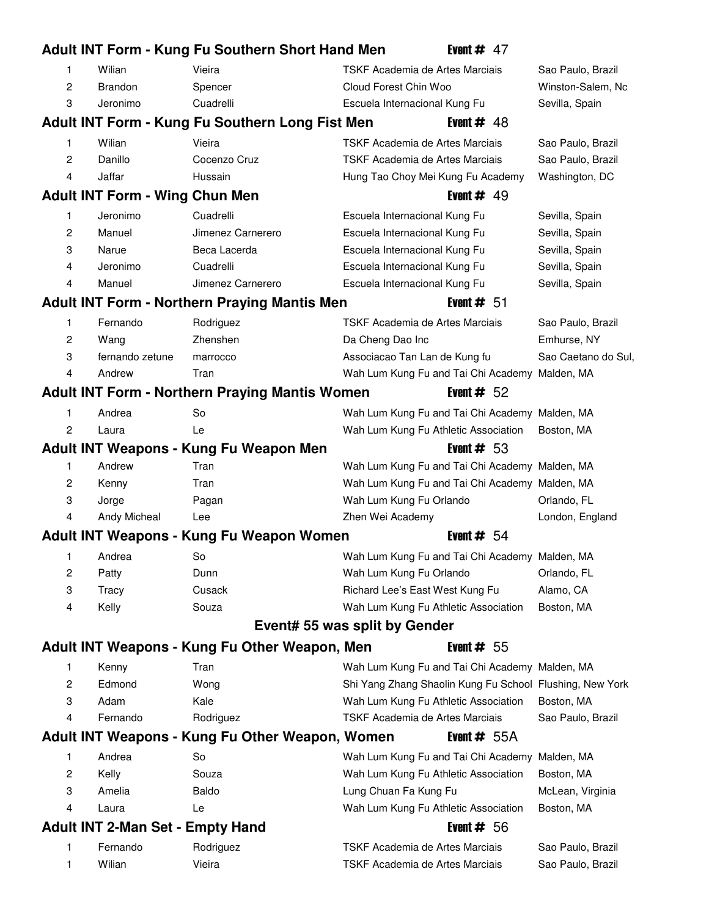|                |                                         | Adult INT Form - Kung Fu Southern Short Hand Men      |                                                          | Event #<br>-47 |                     |
|----------------|-----------------------------------------|-------------------------------------------------------|----------------------------------------------------------|----------------|---------------------|
| 1              | Wilian                                  | Vieira                                                | TSKF Academia de Artes Marciais                          |                | Sao Paulo, Brazil   |
| 2              | Brandon                                 | Spencer                                               | Cloud Forest Chin Woo                                    |                | Winston-Salem, Nc   |
| 3              | Jeronimo                                | Cuadrelli                                             | Escuela Internacional Kung Fu                            |                | Sevilla, Spain      |
|                |                                         | Adult INT Form - Kung Fu Southern Long Fist Men       |                                                          | Event $#$ 48   |                     |
| 1              | Wilian                                  | Vieira                                                | TSKF Academia de Artes Marciais                          |                | Sao Paulo, Brazil   |
| 2              | Danillo                                 | Cocenzo Cruz                                          | TSKF Academia de Artes Marciais                          |                | Sao Paulo, Brazil   |
| 4              | Jaffar                                  | Hussain                                               | Hung Tao Choy Mei Kung Fu Academy                        |                | Washington, DC      |
|                | <b>Adult INT Form - Wing Chun Men</b>   |                                                       |                                                          | Event $#$ 49   |                     |
| 1              | Jeronimo                                | Cuadrelli                                             | Escuela Internacional Kung Fu                            |                | Sevilla, Spain      |
| 2              | Manuel                                  | Jimenez Carnerero                                     | Escuela Internacional Kung Fu                            |                | Sevilla, Spain      |
| 3              | Narue                                   | Beca Lacerda                                          | Escuela Internacional Kung Fu                            |                | Sevilla, Spain      |
| 4              | Jeronimo                                | Cuadrelli                                             | Escuela Internacional Kung Fu                            |                | Sevilla, Spain      |
| 4              | Manuel                                  | Jimenez Carnerero                                     | Escuela Internacional Kung Fu                            |                | Sevilla, Spain      |
|                |                                         | <b>Adult INT Form - Northern Praying Mantis Men</b>   |                                                          | Event $# 51$   |                     |
| 1              | Fernando                                | Rodriguez                                             | TSKF Academia de Artes Marciais                          |                | Sao Paulo, Brazil   |
| 2              | Wang                                    | Zhenshen                                              | Da Cheng Dao Inc                                         |                | Emhurse, NY         |
| 3              | fernando zetune                         | marrocco                                              | Associacao Tan Lan de Kung fu                            |                | Sao Caetano do Sul, |
| 4              | Andrew                                  | Tran                                                  | Wah Lum Kung Fu and Tai Chi Academy Malden, MA           |                |                     |
|                |                                         | <b>Adult INT Form - Northern Praying Mantis Women</b> |                                                          | Event $# 52$   |                     |
| 1              | Andrea                                  | So                                                    | Wah Lum Kung Fu and Tai Chi Academy Malden, MA           |                |                     |
| 2              | Laura                                   | Le                                                    | Wah Lum Kung Fu Athletic Association                     |                | Boston, MA          |
|                |                                         | Adult INT Weapons - Kung Fu Weapon Men                |                                                          | Event $# 53$   |                     |
| 1              | Andrew                                  | Tran                                                  | Wah Lum Kung Fu and Tai Chi Academy Malden, MA           |                |                     |
| 2              | Kenny                                   | Tran                                                  | Wah Lum Kung Fu and Tai Chi Academy Malden, MA           |                |                     |
| 3              | Jorge                                   | Pagan                                                 | Wah Lum Kung Fu Orlando                                  |                | Orlando, FL         |
| 4              | Andy Micheal                            | Lee                                                   | Zhen Wei Academy                                         |                | London, England     |
|                |                                         | Adult INT Weapons - Kung Fu Weapon Women              |                                                          | Event $# 54$   |                     |
| 1              | Andrea                                  | So                                                    | Wah Lum Kung Fu and Tai Chi Academy Malden, MA           |                |                     |
| 2              | Patty                                   | Dunn                                                  | Wah Lum Kung Fu Orlando                                  |                | Orlando, FL         |
| 3              | Tracy                                   | Cusack                                                | Richard Lee's East West Kung Fu                          |                | Alamo, CA           |
| 4              | Kelly                                   | Souza                                                 | Wah Lum Kung Fu Athletic Association                     |                | Boston, MA          |
|                |                                         |                                                       | Event# 55 was split by Gender                            |                |                     |
|                |                                         | Adult INT Weapons - Kung Fu Other Weapon, Men         |                                                          | Event $# 55$   |                     |
| 1              | Kenny                                   | Tran                                                  | Wah Lum Kung Fu and Tai Chi Academy Malden, MA           |                |                     |
| 2              | Edmond                                  | Wong                                                  | Shi Yang Zhang Shaolin Kung Fu School Flushing, New York |                |                     |
| 3              | Adam                                    | Kale                                                  | Wah Lum Kung Fu Athletic Association                     |                | Boston, MA          |
| 4              | Fernando                                | Rodriguez                                             | TSKF Academia de Artes Marciais                          |                | Sao Paulo, Brazil   |
|                |                                         | Adult INT Weapons - Kung Fu Other Weapon, Women       |                                                          | Event $# 55A$  |                     |
| 1              | Andrea                                  | So                                                    | Wah Lum Kung Fu and Tai Chi Academy Malden, MA           |                |                     |
| $\overline{c}$ | Kelly                                   | Souza                                                 | Wah Lum Kung Fu Athletic Association                     |                | Boston, MA          |
| 3              | Amelia                                  | Baldo                                                 | Lung Chuan Fa Kung Fu                                    |                | McLean, Virginia    |
| 4              | Laura                                   | Le                                                    | Wah Lum Kung Fu Athletic Association                     |                | Boston, MA          |
|                | <b>Adult INT 2-Man Set - Empty Hand</b> |                                                       |                                                          | Event $# 56$   |                     |
| 1              | Fernando                                | Rodriguez                                             | TSKF Academia de Artes Marciais                          |                | Sao Paulo, Brazil   |
| 1              | Wilian                                  | Vieira                                                | TSKF Academia de Artes Marciais                          |                | Sao Paulo, Brazil   |
|                |                                         |                                                       |                                                          |                |                     |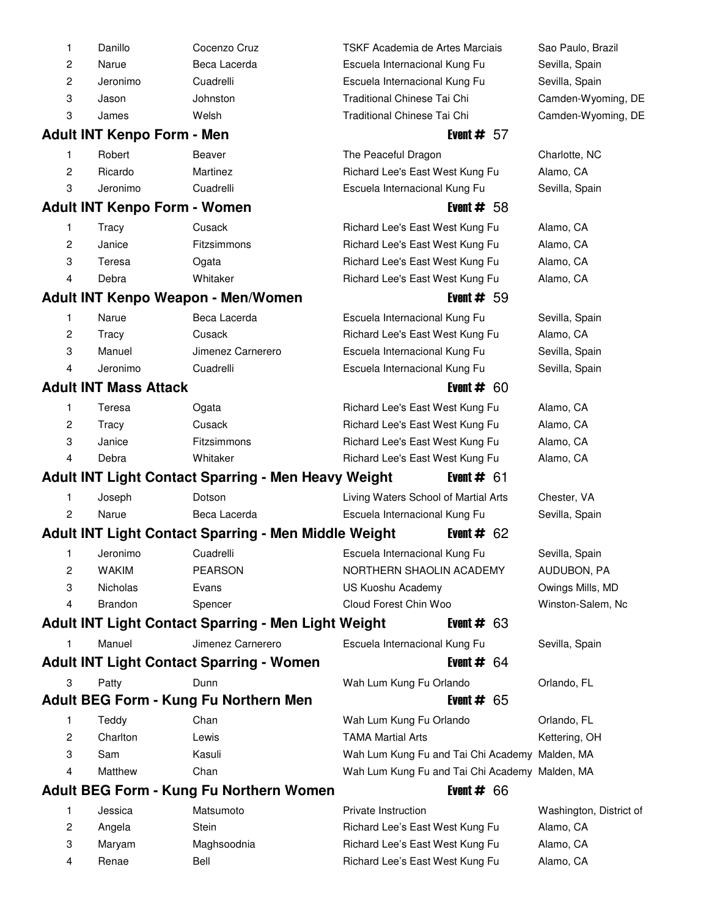| 1              | Danillo                           | Cocenzo Cruz                                                | TSKF Academia de Artes Marciais                | Sao Paulo, Brazil       |
|----------------|-----------------------------------|-------------------------------------------------------------|------------------------------------------------|-------------------------|
| 2              | Narue                             | Beca Lacerda                                                | Escuela Internacional Kung Fu                  | Sevilla, Spain          |
| 2              | Jeronimo                          | Cuadrelli                                                   | Escuela Internacional Kung Fu                  | Sevilla, Spain          |
| 3              | Jason                             | Johnston                                                    | Traditional Chinese Tai Chi                    | Camden-Wyoming, DE      |
| 3              | James                             | Welsh                                                       | Traditional Chinese Tai Chi                    | Camden-Wyoming, DE      |
|                | <b>Adult INT Kenpo Form - Men</b> |                                                             | Event $# 57$                                   |                         |
| 1              | Robert                            | Beaver                                                      | The Peaceful Dragon                            | Charlotte, NC           |
| 2              | Ricardo                           | Martinez                                                    | Richard Lee's East West Kung Fu                | Alamo, CA               |
| 3              | Jeronimo                          | Cuadrelli                                                   | Escuela Internacional Kung Fu                  | Sevilla, Spain          |
|                |                                   | <b>Adult INT Kenpo Form - Women</b>                         | Event $# 58$                                   |                         |
| 1              | Tracy                             | Cusack                                                      | Richard Lee's East West Kung Fu                | Alamo, CA               |
| $\overline{c}$ | Janice                            | Fitzsimmons                                                 | Richard Lee's East West Kung Fu                | Alamo, CA               |
| 3              | Teresa                            | Ogata                                                       | Richard Lee's East West Kung Fu                | Alamo, CA               |
| 4              | Debra                             | Whitaker                                                    | Richard Lee's East West Kung Fu                | Alamo, CA               |
|                |                                   | Adult INT Kenpo Weapon - Men/Women                          | Event $# 59$                                   |                         |
| 1              | Narue                             | Beca Lacerda                                                | Escuela Internacional Kung Fu                  | Sevilla, Spain          |
| $\overline{c}$ | Tracy                             | Cusack                                                      | Richard Lee's East West Kung Fu                | Alamo, CA               |
| 3              | Manuel                            | Jimenez Carnerero                                           | Escuela Internacional Kung Fu                  | Sevilla, Spain          |
| 4              | Jeronimo                          | Cuadrelli                                                   | Escuela Internacional Kung Fu                  | Sevilla, Spain          |
|                | <b>Adult INT Mass Attack</b>      |                                                             | Event $# 60$                                   |                         |
| 1              | Teresa                            | Ogata                                                       | Richard Lee's East West Kung Fu                | Alamo, CA               |
| $\overline{c}$ | Tracy                             | Cusack                                                      | Richard Lee's East West Kung Fu                | Alamo, CA               |
| 3              | Janice                            | Fitzsimmons                                                 | Richard Lee's East West Kung Fu                | Alamo, CA               |
| 4              | Debra                             | Whitaker                                                    | Richard Lee's East West Kung Fu                | Alamo, CA               |
|                |                                   | <b>Adult INT Light Contact Sparring - Men Heavy Weight</b>  | Event $# 61$                                   |                         |
| 1              | Joseph                            | Dotson                                                      | Living Waters School of Martial Arts           | Chester, VA             |
| $\overline{c}$ | Narue                             | Beca Lacerda                                                | Escuela Internacional Kung Fu                  | Sevilla, Spain          |
|                |                                   | <b>Adult INT Light Contact Sparring - Men Middle Weight</b> | Event # $62$                                   |                         |
| 1              | Jeronimo                          | Cuadrelli                                                   | Escuela Internacional Kung Fu                  | Sevilla, Spain          |
| 2              | <b>WAKIM</b>                      | <b>PEARSON</b>                                              | NORTHERN SHAOLIN ACADEMY                       | AUDUBON, PA             |
| 3              | Nicholas                          | Evans                                                       | US Kuoshu Academy                              | Owings Mills, MD        |
| 4              | Brandon                           | Spencer                                                     | Cloud Forest Chin Woo                          | Winston-Salem, Nc       |
|                |                                   | Adult INT Light Contact Sparring - Men Light Weight         | Event $# 63$                                   |                         |
| 1              | Manuel                            | Jimenez Carnerero                                           | Escuela Internacional Kung Fu                  | Sevilla, Spain          |
|                |                                   | <b>Adult INT Light Contact Sparring - Women</b>             | Event $# 64$                                   |                         |
| 3              | Patty                             | Dunn                                                        | Wah Lum Kung Fu Orlando                        | Orlando, FL             |
|                |                                   | Adult BEG Form - Kung Fu Northern Men                       | Event $# 65$                                   |                         |
| 1              | Teddy                             | Chan                                                        | Wah Lum Kung Fu Orlando                        | Orlando, FL             |
| 2              | Charlton                          | Lewis                                                       | <b>TAMA Martial Arts</b>                       | Kettering, OH           |
| 3              | Sam                               | Kasuli                                                      | Wah Lum Kung Fu and Tai Chi Academy Malden, MA |                         |
| 4              | Matthew                           | Chan                                                        | Wah Lum Kung Fu and Tai Chi Academy Malden, MA |                         |
|                |                                   | Adult BEG Form - Kung Fu Northern Women                     | Event $# 66$                                   |                         |
| 1              | Jessica                           | Matsumoto                                                   | Private Instruction                            | Washington, District of |
| 2              | Angela                            | Stein                                                       | Richard Lee's East West Kung Fu                | Alamo, CA               |
| 3              | Maryam                            | Maghsoodnia                                                 | Richard Lee's East West Kung Fu                | Alamo, CA               |
| 4              | Renae                             | Bell                                                        | Richard Lee's East West Kung Fu                | Alamo, CA               |
|                |                                   |                                                             |                                                |                         |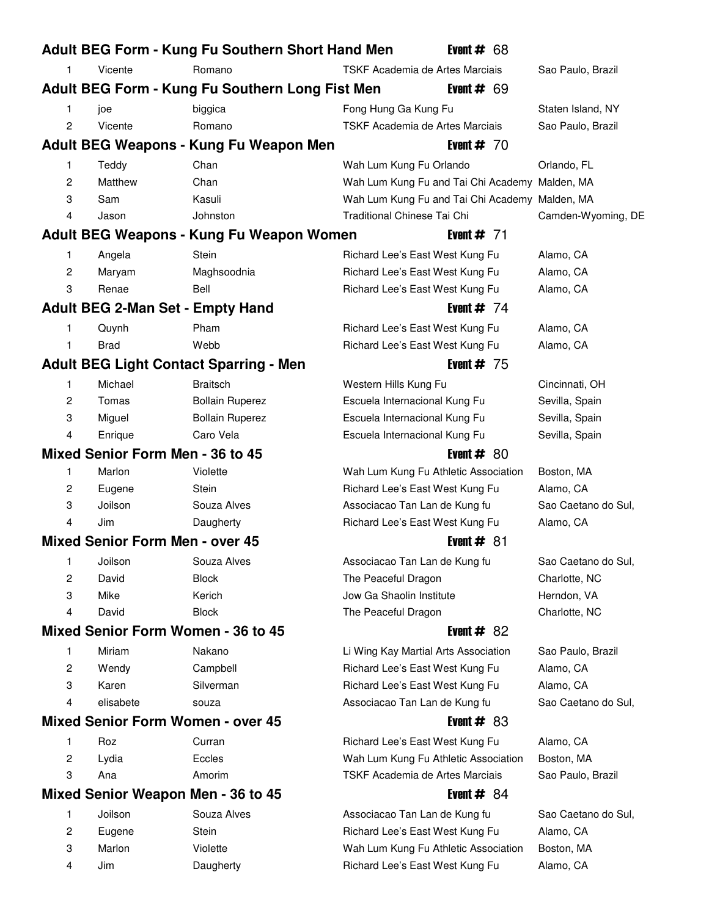|                |             | Adult BEG Form - Kung Fu Southern Short Hand Men |                                      | Event # $68$                                   |                     |
|----------------|-------------|--------------------------------------------------|--------------------------------------|------------------------------------------------|---------------------|
| 1              | Vicente     | Romano                                           | TSKF Academia de Artes Marciais      |                                                | Sao Paulo, Brazil   |
|                |             | Adult BEG Form - Kung Fu Southern Long Fist Men  |                                      | Event $# 69$                                   |                     |
| 1              | joe         | biggica                                          | Fong Hung Ga Kung Fu                 |                                                | Staten Island, NY   |
| $\overline{c}$ | Vicente     | Romano                                           | TSKF Academia de Artes Marciais      |                                                | Sao Paulo, Brazil   |
|                |             | Adult BEG Weapons - Kung Fu Weapon Men           |                                      | Event $# 70$                                   |                     |
| 1              | Teddy       | Chan                                             | Wah Lum Kung Fu Orlando              |                                                | Orlando, FL         |
| 2              | Matthew     | Chan                                             |                                      | Wah Lum Kung Fu and Tai Chi Academy Malden, MA |                     |
| 3              | Sam         | Kasuli                                           |                                      | Wah Lum Kung Fu and Tai Chi Academy Malden, MA |                     |
| $\overline{4}$ | Jason       | Johnston                                         | Traditional Chinese Tai Chi          |                                                | Camden-Wyoming, DE  |
|                |             | Adult BEG Weapons - Kung Fu Weapon Women         |                                      | Event $# 71$                                   |                     |
| 1              | Angela      | <b>Stein</b>                                     | Richard Lee's East West Kung Fu      |                                                | Alamo, CA           |
| 2              | Maryam      | Maghsoodnia                                      | Richard Lee's East West Kung Fu      |                                                | Alamo, CA           |
| 3              | Renae       | Bell                                             | Richard Lee's East West Kung Fu      |                                                | Alamo, CA           |
|                |             | <b>Adult BEG 2-Man Set - Empty Hand</b>          |                                      | Event $# 74$                                   |                     |
| 1              | Quynh       | Pham                                             | Richard Lee's East West Kung Fu      |                                                | Alamo, CA           |
| 1              | <b>Brad</b> | Webb                                             | Richard Lee's East West Kung Fu      |                                                | Alamo, CA           |
|                |             | <b>Adult BEG Light Contact Sparring - Men</b>    |                                      | Event $# 75$                                   |                     |
| 1              | Michael     | <b>Braitsch</b>                                  | Western Hills Kung Fu                |                                                | Cincinnati, OH      |
| 2              | Tomas       | <b>Bollain Ruperez</b>                           | Escuela Internacional Kung Fu        |                                                | Sevilla, Spain      |
| 3              | Miguel      | <b>Bollain Ruperez</b>                           | Escuela Internacional Kung Fu        |                                                | Sevilla, Spain      |
| 4              | Enrique     | Caro Vela                                        | Escuela Internacional Kung Fu        |                                                | Sevilla, Spain      |
|                |             | Mixed Senior Form Men - 36 to 45                 |                                      | Event $#80$                                    |                     |
| 1              | Marlon      | Violette                                         |                                      | Wah Lum Kung Fu Athletic Association           | Boston, MA          |
| $\overline{c}$ | Eugene      | Stein                                            | Richard Lee's East West Kung Fu      |                                                | Alamo, CA           |
| 3              | Joilson     | Souza Alves                                      | Associacao Tan Lan de Kung fu        |                                                | Sao Caetano do Sul, |
| $\overline{4}$ | Jim         | Daugherty                                        | Richard Lee's East West Kung Fu      |                                                | Alamo, CA           |
|                |             | <b>Mixed Senior Form Men - over 45</b>           |                                      | Event $#81$                                    |                     |
| 1              | Joilson     | Souza Alves                                      | Associacao Tan Lan de Kung fu        |                                                | Sao Caetano do Sul, |
| 2              | David       | <b>Block</b>                                     | The Peaceful Dragon                  |                                                | Charlotte, NC       |
| 3              | Mike        | Kerich                                           | Jow Ga Shaolin Institute             |                                                | Herndon, VA         |
| 4              | David       | <b>Block</b>                                     | The Peaceful Dragon                  |                                                | Charlotte, NC       |
|                |             | Mixed Senior Form Women - 36 to 45               |                                      | Event $#82$                                    |                     |
| 1              | Miriam      | Nakano                                           | Li Wing Kay Martial Arts Association |                                                | Sao Paulo, Brazil   |
| 2              | Wendy       | Campbell                                         | Richard Lee's East West Kung Fu      |                                                | Alamo, CA           |
| 3              | Karen       | Silverman                                        | Richard Lee's East West Kung Fu      |                                                | Alamo, CA           |
| 4              | elisabete   | souza                                            | Associacao Tan Lan de Kung fu        |                                                | Sao Caetano do Sul, |
|                |             | <b>Mixed Senior Form Women - over 45</b>         |                                      | Event $#83$                                    |                     |
| 1              | Roz         | Curran                                           | Richard Lee's East West Kung Fu      |                                                | Alamo, CA           |
| 2              | Lydia       | Eccles                                           |                                      | Wah Lum Kung Fu Athletic Association           | Boston, MA          |
| 3              | Ana         | Amorim                                           | TSKF Academia de Artes Marciais      |                                                | Sao Paulo, Brazil   |
|                |             | <b>Mixed Senior Weapon Men - 36 to 45</b>        |                                      | Event $# 84$                                   |                     |
| 1              | Joilson     | Souza Alves                                      | Associacao Tan Lan de Kung fu        |                                                | Sao Caetano do Sul, |
| 2              | Eugene      | Stein                                            | Richard Lee's East West Kung Fu      |                                                | Alamo, CA           |
| 3              | Marlon      | Violette                                         |                                      | Wah Lum Kung Fu Athletic Association           | Boston, MA          |
| 4              | Jim         | Daugherty                                        | Richard Lee's East West Kung Fu      |                                                | Alamo, CA           |
|                |             |                                                  |                                      |                                                |                     |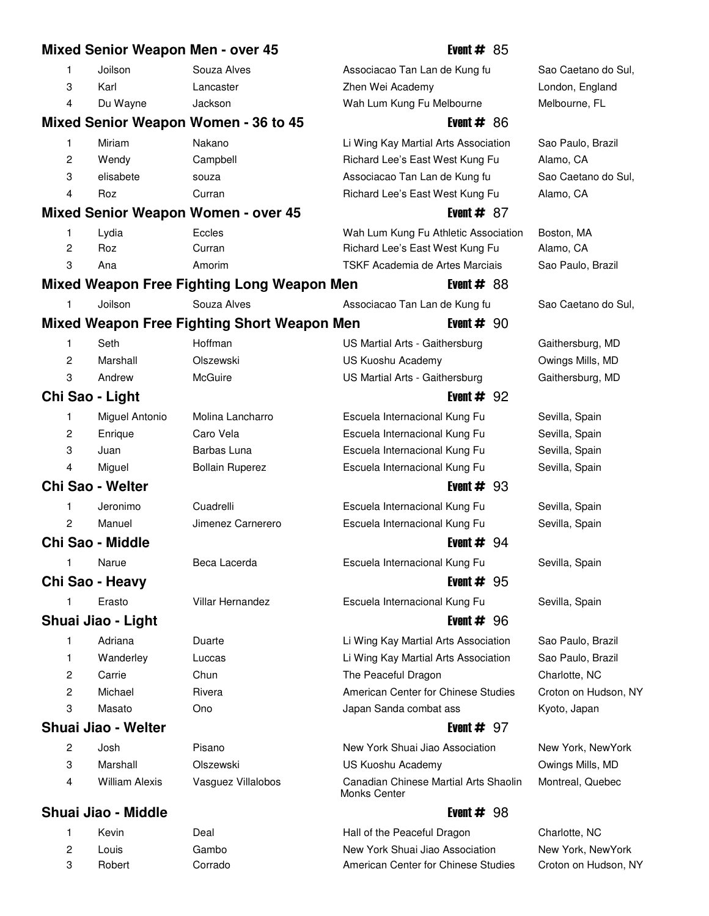|   |                            | <b>Mixed Senior Weapon Men - over 45</b>           | Event $#85$                                           |                      |
|---|----------------------------|----------------------------------------------------|-------------------------------------------------------|----------------------|
| 1 | Joilson                    | Souza Alves                                        | Associacao Tan Lan de Kung fu                         | Sao Caetano do Sul,  |
| 3 | Karl                       | Lancaster                                          | Zhen Wei Academy                                      | London, England      |
| 4 | Du Wayne                   | Jackson                                            | Wah Lum Kung Fu Melbourne                             | Melbourne, FL        |
|   |                            | <b>Mixed Senior Weapon Women - 36 to 45</b>        | Event $#86$                                           |                      |
| 1 | Miriam                     | Nakano                                             | Li Wing Kay Martial Arts Association                  | Sao Paulo, Brazil    |
| 2 | Wendy                      | Campbell                                           | Richard Lee's East West Kung Fu                       | Alamo, CA            |
| 3 | elisabete                  | souza                                              | Associacao Tan Lan de Kung fu                         | Sao Caetano do Sul,  |
| 4 | Roz                        | Curran                                             | Richard Lee's East West Kung Fu                       | Alamo, CA            |
|   |                            | <b>Mixed Senior Weapon Women - over 45</b>         | Event $#87$                                           |                      |
| 1 | Lydia                      | Eccles                                             | Wah Lum Kung Fu Athletic Association                  | Boston, MA           |
| 2 | Roz                        | Curran                                             | Richard Lee's East West Kung Fu                       | Alamo, CA            |
| 3 | Ana                        | Amorim                                             | TSKF Academia de Artes Marciais                       | Sao Paulo, Brazil    |
|   |                            | Mixed Weapon Free Fighting Long Weapon Men         | Event $#88$                                           |                      |
| 1 | Joilson                    | Souza Alves                                        | Associacao Tan Lan de Kung fu                         | Sao Caetano do Sul,  |
|   |                            | <b>Mixed Weapon Free Fighting Short Weapon Men</b> | Event $# 90$                                          |                      |
| 1 | Seth                       | Hoffman                                            | US Martial Arts - Gaithersburg                        | Gaithersburg, MD     |
| 2 | Marshall                   | Olszewski                                          | US Kuoshu Academy                                     | Owings Mills, MD     |
| 3 | Andrew                     | McGuire                                            | US Martial Arts - Gaithersburg                        | Gaithersburg, MD     |
|   | Chi Sao - Light            |                                                    | Event $# 92$                                          |                      |
| 1 | Miguel Antonio             | Molina Lancharro                                   | Escuela Internacional Kung Fu                         | Sevilla, Spain       |
| 2 | Enrique                    | Caro Vela                                          | Escuela Internacional Kung Fu                         | Sevilla, Spain       |
| 3 | Juan                       | Barbas Luna                                        | Escuela Internacional Kung Fu                         | Sevilla, Spain       |
| 4 | Miguel                     | <b>Bollain Ruperez</b>                             | Escuela Internacional Kung Fu                         | Sevilla, Spain       |
|   | <b>Chi Sao - Welter</b>    |                                                    | Event $# 93$                                          |                      |
| 1 | Jeronimo                   | Cuadrelli                                          | Escuela Internacional Kung Fu                         | Sevilla, Spain       |
| 2 | Manuel                     | Jimenez Carnerero                                  | Escuela Internacional Kung Fu                         | Sevilla, Spain       |
|   | Chi Sao - Middle           |                                                    | Event $# 94$                                          |                      |
|   | Narue                      | Beca Lacerda                                       | Escuela Internacional Kung Fu                         | Sevilla, Spain       |
|   | Chi Sao - Heavy            |                                                    | Event $# 95$                                          |                      |
| 1 | Erasto                     | Villar Hernandez                                   | Escuela Internacional Kung Fu                         | Sevilla, Spain       |
|   | Shuai Jiao - Light         |                                                    | Event $# 96$                                          |                      |
| 1 | Adriana                    | Duarte                                             | Li Wing Kay Martial Arts Association                  | Sao Paulo, Brazil    |
| 1 | Wanderley                  | Luccas                                             | Li Wing Kay Martial Arts Association                  | Sao Paulo, Brazil    |
| 2 | Carrie                     | Chun                                               | The Peaceful Dragon                                   | Charlotte, NC        |
| 2 | Michael                    | Rivera                                             | American Center for Chinese Studies                   | Croton on Hudson, NY |
| 3 | Masato                     | Ono                                                | Japan Sanda combat ass                                | Kyoto, Japan         |
|   | <b>Shuai Jiao - Welter</b> |                                                    | Event $# 97$                                          |                      |
| 2 | Josh                       | Pisano                                             | New York Shuai Jiao Association                       | New York, NewYork    |
| 3 | Marshall                   | Olszewski                                          | US Kuoshu Academy                                     | Owings Mills, MD     |
| 4 | <b>William Alexis</b>      | Vasguez Villalobos                                 | Canadian Chinese Martial Arts Shaolin<br>Monks Center | Montreal, Quebec     |
|   | Shuai Jiao - Middle        |                                                    | Event $# 98$                                          |                      |
| 1 | Kevin                      | Deal                                               | Hall of the Peaceful Dragon                           | Charlotte, NC        |
|   |                            |                                                    |                                                       |                      |

2 Louis Gambo 15 New York Shuai Jiao Association 15 New York, NewYork 3 Robert Corrado 25 American Center for Chinese Studies Croton on Hudson, NY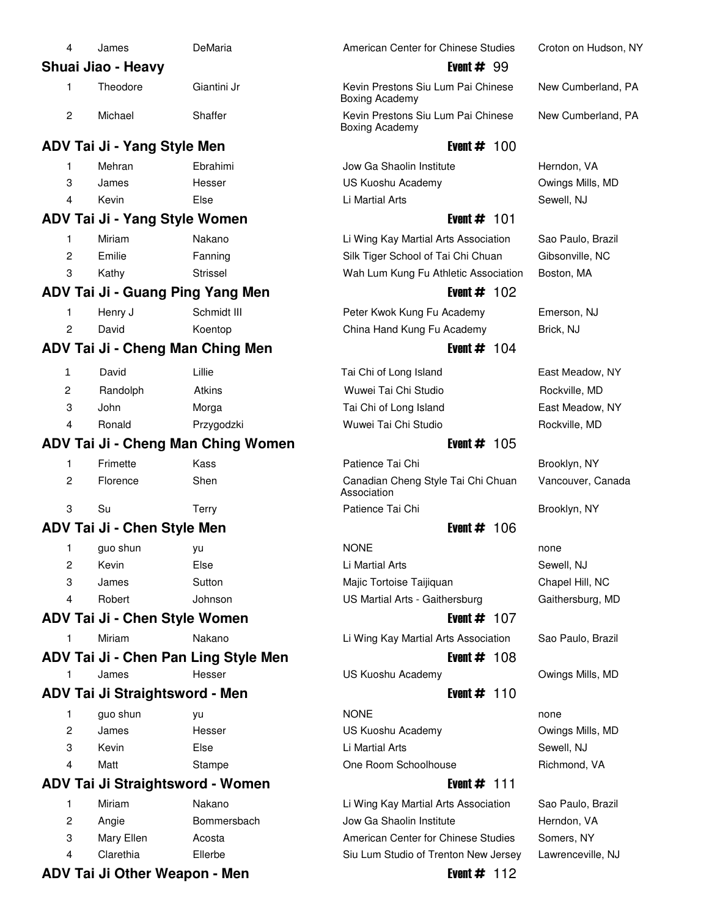| 4                   | James                          | DeMaria                              | American Center for Chinese Studies                         | Croton on Hudson, NY             |
|---------------------|--------------------------------|--------------------------------------|-------------------------------------------------------------|----------------------------------|
|                     | Shuai Jiao - Heavy             |                                      | Event $# 99$                                                |                                  |
| 1                   | Theodore                       | Giantini Jr                          | Kevin Prestons Siu Lum Pai Chinese<br><b>Boxing Academy</b> | New Cumberland, PA               |
| $\overline{c}$      | Michael                        | Shaffer                              | Kevin Prestons Siu Lum Pai Chinese<br><b>Boxing Academy</b> | New Cumberland, PA               |
|                     | ADV Tai Ji - Yang Style Men    |                                      | Event $# 100$                                               |                                  |
| 1                   | Mehran                         | Ebrahimi                             | Jow Ga Shaolin Institute                                    | Herndon, VA                      |
| 3                   | James                          | Hesser                               | US Kuoshu Academy                                           | Owings Mills, MD                 |
| 4                   | Kevin                          | Else                                 | Li Martial Arts                                             | Sewell, NJ                       |
|                     | ADV Tai Ji - Yang Style Women  |                                      | Event $# 101$                                               |                                  |
| 1                   | Miriam                         | Nakano                               | Li Wing Kay Martial Arts Association                        | Sao Paulo, Brazil                |
| 2                   | Emilie                         | Fanning                              | Silk Tiger School of Tai Chi Chuan                          | Gibsonville, NC                  |
| 3                   | Kathy                          | Strissel                             | Wah Lum Kung Fu Athletic Association                        | Boston, MA                       |
|                     |                                | ADV Tai Ji - Guang Ping Yang Men     | Event $# 102$                                               |                                  |
| 1                   | Henry J                        | Schmidt III                          | Peter Kwok Kung Fu Academy                                  | Emerson, NJ                      |
| $\overline{2}$      | David                          | Koentop                              | China Hand Kung Fu Academy                                  | Brick, NJ                        |
|                     |                                | ADV Tai Ji - Cheng Man Ching Men     | Event $# 104$                                               |                                  |
| 1                   | David                          | Lillie                               | Tai Chi of Long Island                                      | East Meadow, NY                  |
|                     |                                |                                      |                                                             |                                  |
| $\overline{2}$<br>3 | Randolph<br>John               | Atkins                               | Wuwei Tai Chi Studio<br>Tai Chi of Long Island              | Rockville, MD<br>East Meadow, NY |
| 4                   | Ronald                         | Morga<br>Przygodzki                  | Wuwei Tai Chi Studio                                        | Rockville, MD                    |
|                     |                                |                                      |                                                             |                                  |
|                     |                                | ADV Tai Ji - Cheng Man Ching Women   | Event $# 105$                                               |                                  |
| 1                   | Frimette                       | Kass                                 | Patience Tai Chi                                            | Brooklyn, NY                     |
| 2                   | Florence                       | Shen                                 | Canadian Cheng Style Tai Chi Chuan<br>Association           | Vancouver, Canada                |
| 3                   | Su                             | Terry                                | Patience Tai Chi                                            | Brooklyn, NY                     |
|                     | ADV Tai Ji - Chen Style Men    |                                      | Event $\#$ 106                                              |                                  |
| 1                   | guo shun                       | yu                                   | <b>NONE</b>                                                 | none                             |
| 2                   | Kevin                          | Else                                 | Li Martial Arts                                             | Sewell, NJ                       |
| 3                   | James                          | Sutton                               | Majic Tortoise Taijiquan                                    | Chapel Hill, NC                  |
| 4                   | Robert                         | Johnson                              | US Martial Arts - Gaithersburg                              | Gaithersburg, MD                 |
|                     | ADV Tai Ji - Chen Style Women  |                                      | Event $# 107$                                               |                                  |
| 1                   | Miriam                         | Nakano                               | Li Wing Kay Martial Arts Association                        | Sao Paulo, Brazil                |
|                     |                                | ADV Tai Ji - Chen Pan Ling Style Men | Event $\#$ 108                                              |                                  |
| 1                   | James                          | Hesser                               | US Kuoshu Academy                                           | Owings Mills, MD                 |
|                     | ADV Tai Ji Straightsword - Men |                                      | Event $# 110$                                               |                                  |
| 1                   | guo shun                       | yu                                   | <b>NONE</b>                                                 | none                             |
| 2                   | James                          | Hesser                               | US Kuoshu Academy                                           | Owings Mills, MD                 |
| 3                   | Kevin                          | Else                                 | Li Martial Arts                                             | Sewell, NJ                       |
| 4                   | Matt                           | Stampe                               | One Room Schoolhouse                                        | Richmond, VA                     |
|                     |                                | ADV Tai Ji Straightsword - Women     | Event $#$ 111                                               |                                  |
| 1                   | Miriam                         | Nakano                               | Li Wing Kay Martial Arts Association                        | Sao Paulo, Brazil                |
| 2                   | Angie                          | Bommersbach                          | Jow Ga Shaolin Institute                                    | Herndon, VA                      |
| 3                   | Mary Ellen                     | Acosta                               | American Center for Chinese Studies                         | Somers, NY                       |
| 4                   | Clarethia                      | Ellerbe                              | Siu Lum Studio of Trenton New Jersey                        | Lawrenceville, NJ                |
|                     | ADV Tai Ji Other Weapon - Men  |                                      | Event $#$ 112                                               |                                  |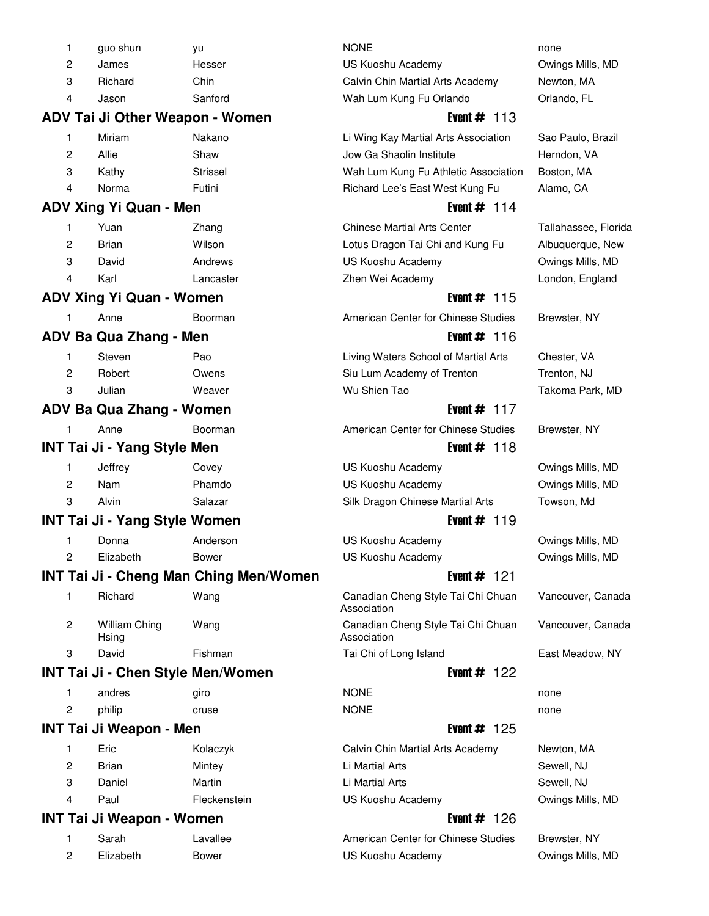| 1 | guo shun                                 | yu                                            | <b>NONE</b>                                       | none                 |
|---|------------------------------------------|-----------------------------------------------|---------------------------------------------------|----------------------|
| 2 | James                                    | Hesser                                        | US Kuoshu Academy                                 | Owings Mills, MD     |
| 3 | Richard                                  | Chin                                          | Calvin Chin Martial Arts Academy                  | Newton, MA           |
| 4 | Jason                                    | Sanford                                       | Wah Lum Kung Fu Orlando                           | Orlando, FL          |
|   | ADV Tai Ji Other Weapon - Women          |                                               | Event $#$ 113                                     |                      |
| 1 | Miriam                                   | Nakano                                        | Li Wing Kay Martial Arts Association              | Sao Paulo, Brazil    |
| 2 | Allie                                    | Shaw                                          | Jow Ga Shaolin Institute                          | Herndon, VA          |
| 3 | Kathy                                    | Strissel                                      | Wah Lum Kung Fu Athletic Association              | Boston, MA           |
| 4 | Norma                                    | Futini                                        | Richard Lee's East West Kung Fu                   | Alamo, CA            |
|   | <b>ADV Xing Yi Quan - Men</b>            |                                               | Event $# 114$                                     |                      |
| 1 | Yuan                                     | Zhang                                         | <b>Chinese Martial Arts Center</b>                | Tallahassee, Florida |
| 2 | <b>Brian</b>                             | Wilson                                        | Lotus Dragon Tai Chi and Kung Fu                  | Albuquerque, New     |
| 3 | David                                    | Andrews                                       | US Kuoshu Academy                                 | Owings Mills, MD     |
| 4 | Karl                                     | Lancaster                                     | Zhen Wei Academy                                  | London, England      |
|   | ADV Xing Yi Quan - Women                 |                                               | Event $#$ 115                                     |                      |
|   | Anne                                     | Boorman                                       | American Center for Chinese Studies               | Brewster, NY         |
|   | ADV Ba Qua Zhang - Men                   |                                               | Event $\#$ 116                                    |                      |
| 1 | Steven                                   | Pao                                           | Living Waters School of Martial Arts              | Chester, VA          |
| 2 | Robert                                   | Owens                                         | Siu Lum Academy of Trenton                        | Trenton, NJ          |
| 3 | Julian                                   | Weaver                                        | Wu Shien Tao                                      | Takoma Park, MD      |
|   | ADV Ba Qua Zhang - Women                 |                                               | Event $#$ 117                                     |                      |
| 1 | Anne                                     | Boorman                                       | American Center for Chinese Studies               | Brewster, NY         |
|   | <b>INT Tai Ji - Yang Style Men</b>       |                                               | Event $# 118$                                     |                      |
| 1 | Jeffrey                                  | Covey                                         | US Kuoshu Academy                                 | Owings Mills, MD     |
| 2 | Nam                                      | Phamdo                                        | US Kuoshu Academy                                 | Owings Mills, MD     |
| 3 | Alvin                                    | Salazar                                       | Silk Dragon Chinese Martial Arts                  | Towson, Md           |
|   | <b>INT Tai Ji - Yang Style Women</b>     |                                               | Event $# 119$                                     |                      |
| 1 | Donna                                    | Anderson                                      | US Kuoshu Academy                                 | Owings Mills, MD     |
| 2 | Elizabeth                                | <b>Bower</b>                                  | US Kuoshu Academy                                 | Owings Mills, MD     |
|   |                                          | <b>INT Tai Ji - Cheng Man Ching Men/Women</b> | Event $#$ 121                                     |                      |
| 1 | Richard                                  | Wang                                          | Canadian Cheng Style Tai Chi Chuan<br>Association | Vancouver, Canada    |
| 2 | William Ching<br>Hsing                   | Wang                                          | Canadian Cheng Style Tai Chi Chuan<br>Association | Vancouver, Canada    |
| 3 | David                                    | Fishman                                       | Tai Chi of Long Island                            | East Meadow, NY      |
|   | <b>INT Tai Ji - Chen Style Men/Women</b> |                                               | Event $#$ 122                                     |                      |
| 1 | andres                                   | giro                                          | <b>NONE</b>                                       | none                 |
| 2 | philip                                   | cruse                                         | <b>NONE</b>                                       | none                 |
|   | <b>INT Tai Ji Weapon - Men</b>           |                                               | Event $\#$ 125                                    |                      |
| 1 | Eric                                     | Kolaczyk                                      | Calvin Chin Martial Arts Academy                  | Newton, MA           |
| 2 | <b>Brian</b>                             | Mintey                                        | Li Martial Arts                                   | Sewell, NJ           |
| 3 | Daniel                                   | Martin                                        | Li Martial Arts                                   | Sewell, NJ           |
| 4 | Paul                                     | Fleckenstein                                  | US Kuoshu Academy                                 | Owings Mills, MD     |
|   | <b>INT Tai Ji Weapon - Women</b>         |                                               | Event $#$ 126                                     |                      |
| 1 | Sarah                                    | Lavallee                                      | American Center for Chinese Studies               | Brewster, NY         |
| 2 | Elizabeth                                | Bower                                         | US Kuoshu Academy                                 | Owings Mills, MD     |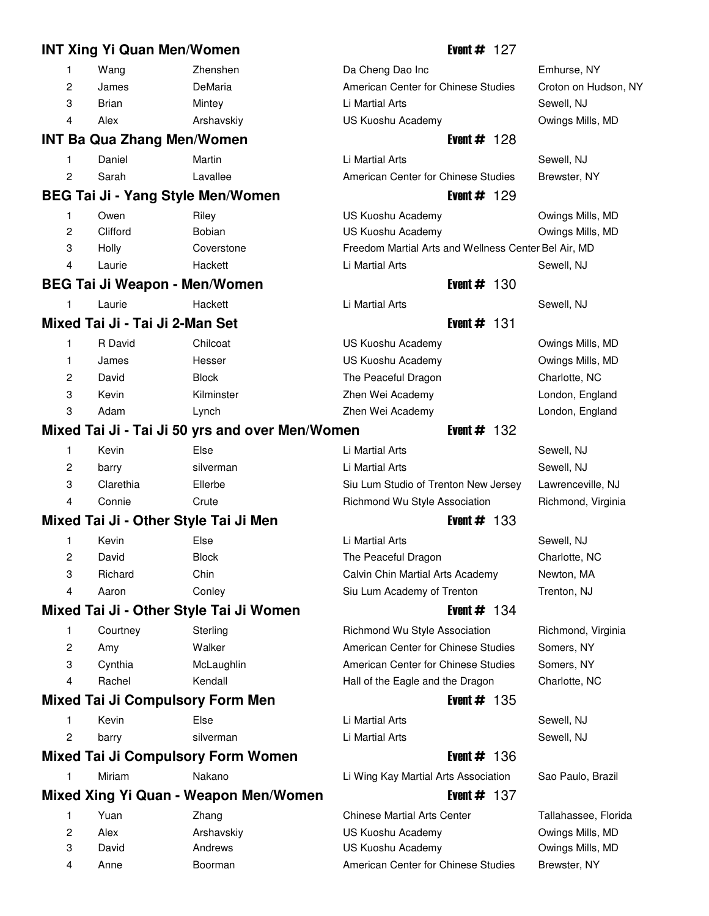|                | <b>INT Xing Yi Quan Men/Women</b> |                                                 | Event $# 127$                                        |                      |
|----------------|-----------------------------------|-------------------------------------------------|------------------------------------------------------|----------------------|
| 1              | Wang                              | Zhenshen                                        | Da Cheng Dao Inc                                     | Emhurse, NY          |
| 2              | James                             | DeMaria                                         | American Center for Chinese Studies                  | Croton on Hudson, NY |
| 3              | <b>Brian</b>                      | Mintey                                          | Li Martial Arts                                      | Sewell, NJ           |
| $\overline{4}$ | Alex                              | Arshavskiy                                      | US Kuoshu Academy                                    | Owings Mills, MD     |
|                | <b>INT Ba Qua Zhang Men/Women</b> |                                                 | Event $\#$ 128                                       |                      |
| 1              | Daniel                            | Martin                                          | Li Martial Arts                                      | Sewell, NJ           |
| $\overline{2}$ | Sarah                             | Lavallee                                        | American Center for Chinese Studies                  | Brewster, NY         |
|                |                                   | BEG Tai Ji - Yang Style Men/Women               | Event $# 129$                                        |                      |
| 1              | Owen                              | Riley                                           | US Kuoshu Academy                                    | Owings Mills, MD     |
| $\overline{2}$ | Clifford                          | <b>Bobian</b>                                   | US Kuoshu Academy                                    | Owings Mills, MD     |
| 3              | Holly                             | Coverstone                                      | Freedom Martial Arts and Wellness Center Bel Air, MD |                      |
| 4              | Laurie                            | Hackett                                         | Li Martial Arts                                      | Sewell, NJ           |
|                |                                   | BEG Tai Ji Weapon - Men/Women                   | Event $# 130$                                        |                      |
| 1              | Laurie                            | Hackett                                         | Li Martial Arts                                      | Sewell, NJ           |
|                | Mixed Tai Ji - Tai Ji 2-Man Set   |                                                 | Event $#$ 131                                        |                      |
| $\mathbf{1}$   | R David                           | Chilcoat                                        | US Kuoshu Academy                                    | Owings Mills, MD     |
| 1              | James                             | Hesser                                          | US Kuoshu Academy                                    | Owings Mills, MD     |
| $\overline{c}$ | David                             | <b>Block</b>                                    | The Peaceful Dragon                                  | Charlotte, NC        |
| 3              | Kevin                             | Kilminster                                      | Zhen Wei Academy                                     | London, England      |
| 3              | Adam                              | Lynch                                           | Zhen Wei Academy                                     | London, England      |
|                |                                   | Mixed Tai Ji - Tai Ji 50 yrs and over Men/Women | Event $# 132$                                        |                      |
| 1              | Kevin                             | Else                                            | Li Martial Arts                                      | Sewell, NJ           |
| 2              | barry                             | silverman                                       | Li Martial Arts                                      | Sewell, NJ           |
| 3              | Clarethia                         | Ellerbe                                         | Siu Lum Studio of Trenton New Jersey                 | Lawrenceville, NJ    |
| 4              | Connie                            | Crute                                           | Richmond Wu Style Association                        | Richmond, Virginia   |
|                |                                   | Mixed Tai Ji - Other Style Tai Ji Men           | Event $#$ 133                                        |                      |
| 1              | Kevin                             | Else                                            | Li Martial Arts                                      | Sewell, NJ           |
| 2              | David                             | <b>Block</b>                                    | The Peaceful Dragon                                  | Charlotte, NC        |
| 3              | Richard                           | Chin                                            | Calvin Chin Martial Arts Academy                     | Newton, MA           |
| 4              | Aaron                             | Conley                                          | Siu Lum Academy of Trenton                           | Trenton, NJ          |
|                |                                   | Mixed Tai Ji - Other Style Tai Ji Women         | Event $# 134$                                        |                      |
| 1              | Courtney                          | Sterling                                        | Richmond Wu Style Association                        | Richmond, Virginia   |
| 2              | Amy                               | Walker                                          | American Center for Chinese Studies                  | Somers, NY           |
| 3              | Cynthia                           | McLaughlin                                      | American Center for Chinese Studies                  | Somers, NY           |
| 4              | Rachel                            | Kendall                                         | Hall of the Eagle and the Dragon                     | Charlotte, NC        |
|                |                                   | <b>Mixed Tai Ji Compulsory Form Men</b>         | Event $#$ 135                                        |                      |
| 1              | Kevin                             | Else                                            | Li Martial Arts                                      | Sewell, NJ           |
| 2              | barry                             | silverman                                       | Li Martial Arts                                      | Sewell, NJ           |
|                |                                   | <b>Mixed Tai Ji Compulsory Form Women</b>       | Event $\#$ 136                                       |                      |
| 1              | Miriam                            | Nakano                                          | Li Wing Kay Martial Arts Association                 | Sao Paulo, Brazil    |
|                |                                   | Mixed Xing Yi Quan - Weapon Men/Women           | Event $# 137$                                        |                      |
| 1              | Yuan                              | Zhang                                           | <b>Chinese Martial Arts Center</b>                   | Tallahassee, Florida |
| 2              | Alex                              | Arshavskiy                                      | US Kuoshu Academy                                    | Owings Mills, MD     |
| 3              | David                             | Andrews                                         | US Kuoshu Academy                                    | Owings Mills, MD     |
| 4              | Anne                              | Boorman                                         | American Center for Chinese Studies                  | Brewster, NY         |
|                |                                   |                                                 |                                                      |                      |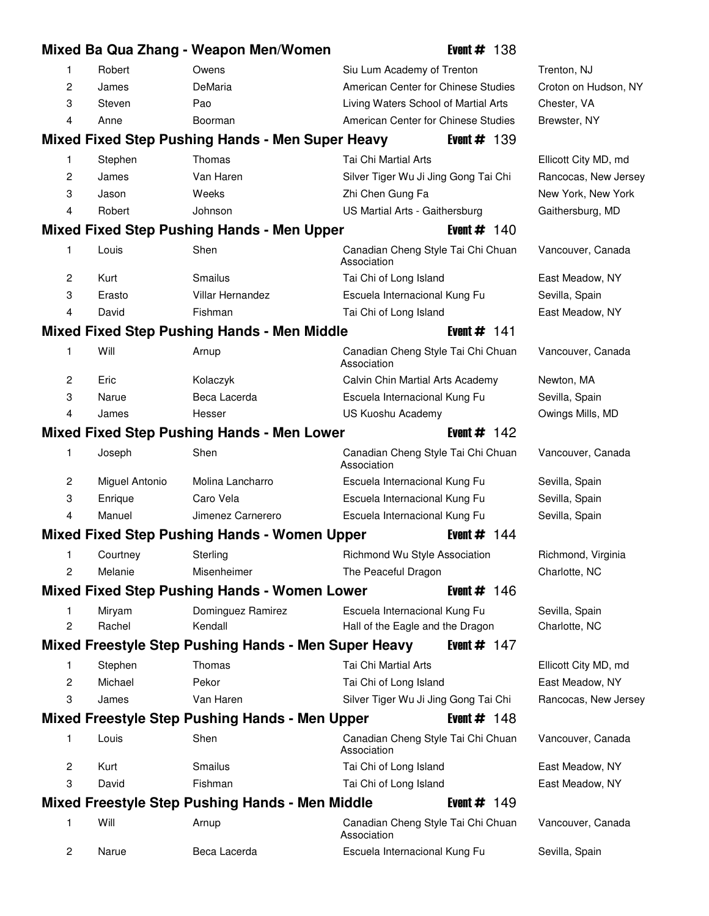|    |                | Mixed Ba Qua Zhang - Weapon Men/Women                   | Event $# 138$                                     |                      |
|----|----------------|---------------------------------------------------------|---------------------------------------------------|----------------------|
| 1. | Robert         | Owens                                                   | Siu Lum Academy of Trenton                        | Trenton, NJ          |
| 2  | James          | DeMaria                                                 | American Center for Chinese Studies               | Croton on Hudson, NY |
| 3  | Steven         | Pao                                                     | Living Waters School of Martial Arts              | Chester, VA          |
| 4  | Anne           | Boorman                                                 | American Center for Chinese Studies               | Brewster, NY         |
|    |                | <b>Mixed Fixed Step Pushing Hands - Men Super Heavy</b> | Event $#$ 139                                     |                      |
| 1. | Stephen        | Thomas                                                  | Tai Chi Martial Arts                              | Ellicott City MD, md |
| 2  | James          | Van Haren                                               | Silver Tiger Wu Ji Jing Gong Tai Chi              | Rancocas, New Jersey |
| 3  | Jason          | Weeks                                                   | Zhi Chen Gung Fa                                  | New York, New York   |
| 4  | Robert         | Johnson                                                 | US Martial Arts - Gaithersburg                    | Gaithersburg, MD     |
|    |                | <b>Mixed Fixed Step Pushing Hands - Men Upper</b>       | Event $# 140$                                     |                      |
| 1. | Louis          | Shen                                                    | Canadian Cheng Style Tai Chi Chuan<br>Association | Vancouver, Canada    |
| 2  | Kurt           | Smailus                                                 | Tai Chi of Long Island                            | East Meadow, NY      |
| 3  | Erasto         | Villar Hernandez                                        | Escuela Internacional Kung Fu                     | Sevilla, Spain       |
| 4  | David          | Fishman                                                 | Tai Chi of Long Island                            | East Meadow, NY      |
|    |                | <b>Mixed Fixed Step Pushing Hands - Men Middle</b>      | Event $#$ 141                                     |                      |
| 1  | Will           | Arnup                                                   | Canadian Cheng Style Tai Chi Chuan<br>Association | Vancouver, Canada    |
| 2  | Eric           | Kolaczyk                                                | Calvin Chin Martial Arts Academy                  | Newton, MA           |
| 3  | Narue          | Beca Lacerda                                            | Escuela Internacional Kung Fu                     | Sevilla, Spain       |
| 4  | James          | Hesser                                                  | US Kuoshu Academy                                 | Owings Mills, MD     |
|    |                | <b>Mixed Fixed Step Pushing Hands - Men Lower</b>       | Event $# 142$                                     |                      |
| 1  | Joseph         | Shen                                                    | Canadian Cheng Style Tai Chi Chuan<br>Association | Vancouver, Canada    |
| 2  | Miguel Antonio | Molina Lancharro                                        | Escuela Internacional Kung Fu                     | Sevilla, Spain       |
| 3  | Enrique        | Caro Vela                                               | Escuela Internacional Kung Fu                     | Sevilla, Spain       |
| 4  | Manuel         | Jimenez Carnerero                                       | Escuela Internacional Kung Fu                     | Sevilla, Spain       |
|    |                | <b>Mixed Fixed Step Pushing Hands - Women Upper</b>     | Event $# 144$                                     |                      |
|    | Courtney       | Sterling                                                | Richmond Wu Style Association                     | Richmond, Virginia   |
| 2  | Melanie        | Misenheimer                                             | The Peaceful Dragon                               | Charlotte, NC        |
|    |                | <b>Mixed Fixed Step Pushing Hands - Women Lower</b>     | Event $\#$ 146                                    |                      |
| 1  | Miryam         | Dominguez Ramirez                                       | Escuela Internacional Kung Fu                     | Sevilla, Spain       |
| 2  | Rachel         | Kendall                                                 | Hall of the Eagle and the Dragon                  | Charlotte, NC        |
|    |                | Mixed Freestyle Step Pushing Hands - Men Super Heavy    | Event $# 147$                                     |                      |
| 1. | Stephen        | Thomas                                                  | Tai Chi Martial Arts                              | Ellicott City MD, md |
| 2  | Michael        | Pekor                                                   | Tai Chi of Long Island                            | East Meadow, NY      |
| 3  | James          | Van Haren                                               | Silver Tiger Wu Ji Jing Gong Tai Chi              | Rancocas, New Jersey |
|    |                | Mixed Freestyle Step Pushing Hands - Men Upper          | Event $\#$ 148                                    |                      |
| 1  | Louis          | Shen                                                    | Canadian Cheng Style Tai Chi Chuan<br>Association | Vancouver, Canada    |
| 2  | Kurt           | Smailus                                                 | Tai Chi of Long Island                            | East Meadow, NY      |
| 3  | David          | Fishman                                                 | Tai Chi of Long Island                            | East Meadow, NY      |
|    |                | <b>Mixed Freestyle Step Pushing Hands - Men Middle</b>  | Event $# 149$                                     |                      |
| 1  | Will           | Arnup                                                   | Canadian Cheng Style Tai Chi Chuan<br>Association | Vancouver, Canada    |
| 2  | Narue          | Beca Lacerda                                            | Escuela Internacional Kung Fu                     | Sevilla, Spain       |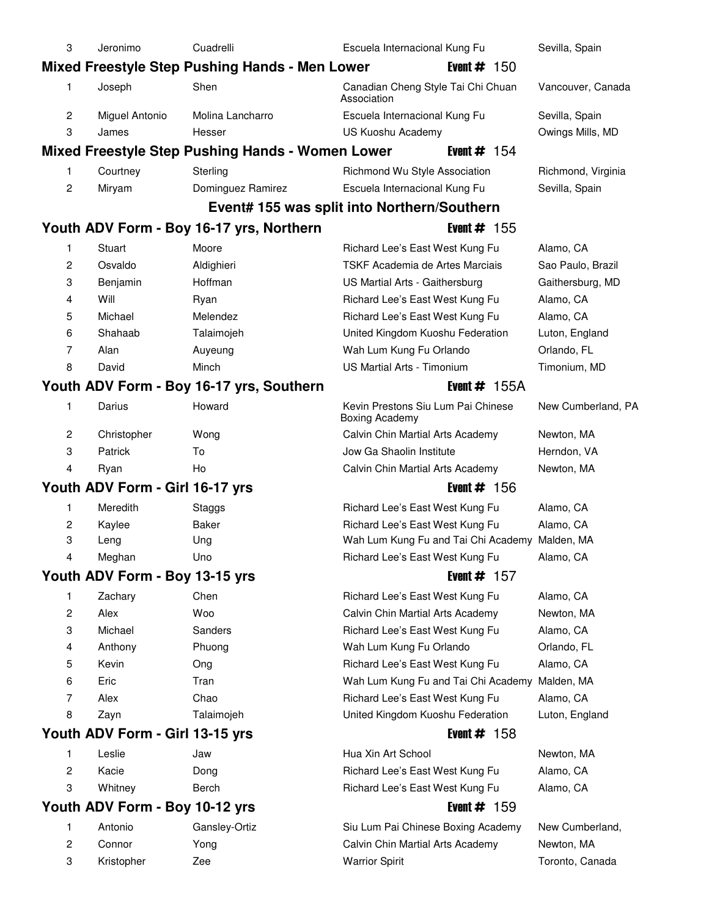| 3              | Jeronimo                        | Cuadrelli                                               | Escuela Internacional Kung Fu                               |                | Sevilla, Spain     |
|----------------|---------------------------------|---------------------------------------------------------|-------------------------------------------------------------|----------------|--------------------|
|                |                                 | <b>Mixed Freestyle Step Pushing Hands - Men Lower</b>   |                                                             | Event $#$ 150  |                    |
| 1              | Joseph                          | Shen                                                    | Canadian Cheng Style Tai Chi Chuan<br>Association           |                | Vancouver, Canada  |
| $\mathbf{2}$   | Miguel Antonio                  | Molina Lancharro                                        | Escuela Internacional Kung Fu                               |                | Sevilla, Spain     |
| 3              | James                           | Hesser                                                  | US Kuoshu Academy                                           |                | Owings Mills, MD   |
|                |                                 | <b>Mixed Freestyle Step Pushing Hands - Women Lower</b> |                                                             | Event $#$ 154  |                    |
| 1              | Courtney                        | Sterling                                                | Richmond Wu Style Association                               |                | Richmond, Virginia |
| 2              | Miryam                          | Dominguez Ramirez                                       | Escuela Internacional Kung Fu                               |                | Sevilla, Spain     |
|                |                                 | Event# 155 was split into Northern/Southern             |                                                             |                |                    |
|                |                                 | Youth ADV Form - Boy 16-17 yrs, Northern                |                                                             | Event $#$ 155  |                    |
| 1              | Stuart                          | Moore                                                   | Richard Lee's East West Kung Fu                             |                | Alamo, CA          |
| 2              | Osvaldo                         | Aldighieri                                              | TSKF Academia de Artes Marciais                             |                | Sao Paulo, Brazil  |
| 3              | Benjamin                        | Hoffman                                                 | US Martial Arts - Gaithersburg                              |                | Gaithersburg, MD   |
| 4              | Will                            | Ryan                                                    | Richard Lee's East West Kung Fu                             |                | Alamo, CA          |
| 5              | Michael                         | Melendez                                                | Richard Lee's East West Kung Fu                             |                | Alamo, CA          |
| 6              | Shahaab                         | Talaimojeh                                              | United Kingdom Kuoshu Federation                            |                | Luton, England     |
| 7              | Alan                            | Auyeung                                                 | Wah Lum Kung Fu Orlando                                     |                | Orlando, FL        |
| 8              | David                           | Minch                                                   | <b>US Martial Arts - Timonium</b>                           |                | Timonium, MD       |
|                |                                 | Youth ADV Form - Boy 16-17 yrs, Southern                |                                                             | Event $#$ 155A |                    |
| 1              | Darius                          | Howard                                                  | Kevin Prestons Siu Lum Pai Chinese<br><b>Boxing Academy</b> |                | New Cumberland, PA |
| $\mathbf{2}$   | Christopher                     | Wong                                                    | Calvin Chin Martial Arts Academy                            |                | Newton, MA         |
| 3              | Patrick                         | To                                                      | Jow Ga Shaolin Institute                                    |                | Herndon, VA        |
| 4              | Ryan                            | Ho                                                      | Calvin Chin Martial Arts Academy                            |                | Newton, MA         |
|                | Youth ADV Form - Girl 16-17 yrs |                                                         |                                                             | Event $\#$ 156 |                    |
| 1              | Meredith                        | Staggs                                                  | Richard Lee's East West Kung Fu                             |                | Alamo, CA          |
| $\mathbf{2}$   | Kaylee                          | Baker                                                   | Richard Lee's East West Kung Fu                             |                | Alamo, CA          |
| 3              | Leng                            | Ung                                                     | Wah Lum Kung Fu and Tai Chi Academy Malden, MA              |                |                    |
| 4              | Meghan                          | Uno                                                     | Richard Lee's East West Kung Fu                             |                | Alamo, CA          |
|                | Youth ADV Form - Boy 13-15 yrs  |                                                         |                                                             | Event $#$ 157  |                    |
| 1              | Zachary                         | Chen                                                    | Richard Lee's East West Kung Fu                             |                | Alamo, CA          |
| 2              | Alex                            | Woo                                                     | Calvin Chin Martial Arts Academy                            |                | Newton, MA         |
| 3              | Michael                         | Sanders                                                 | Richard Lee's East West Kung Fu                             |                | Alamo, CA          |
| 4              | Anthony                         | Phuong                                                  | Wah Lum Kung Fu Orlando                                     |                | Orlando, FL        |
| 5              | Kevin                           | Ong                                                     | Richard Lee's East West Kung Fu                             |                | Alamo, CA          |
| 6              | Eric                            | Tran                                                    | Wah Lum Kung Fu and Tai Chi Academy                         |                | Malden, MA         |
| 7              | Alex                            | Chao                                                    | Richard Lee's East West Kung Fu                             |                | Alamo, CA          |
| 8              | Zayn                            | Talaimojeh                                              | United Kingdom Kuoshu Federation                            |                | Luton, England     |
|                | Youth ADV Form - Girl 13-15 yrs |                                                         |                                                             | Event $#$ 158  |                    |
| 1              | Leslie                          | Jaw                                                     | Hua Xin Art School                                          |                | Newton, MA         |
| 2              | Kacie                           | Dong                                                    | Richard Lee's East West Kung Fu                             |                | Alamo, CA          |
| 3              | Whitney                         | Berch                                                   | Richard Lee's East West Kung Fu                             |                | Alamo, CA          |
|                | Youth ADV Form - Boy 10-12 yrs  |                                                         |                                                             | Event $# 159$  |                    |
| 1              | Antonio                         | Gansley-Ortiz                                           | Siu Lum Pai Chinese Boxing Academy                          |                | New Cumberland,    |
| $\overline{c}$ | Connor                          | Yong                                                    | Calvin Chin Martial Arts Academy                            |                | Newton, MA         |
| 3              |                                 |                                                         |                                                             |                |                    |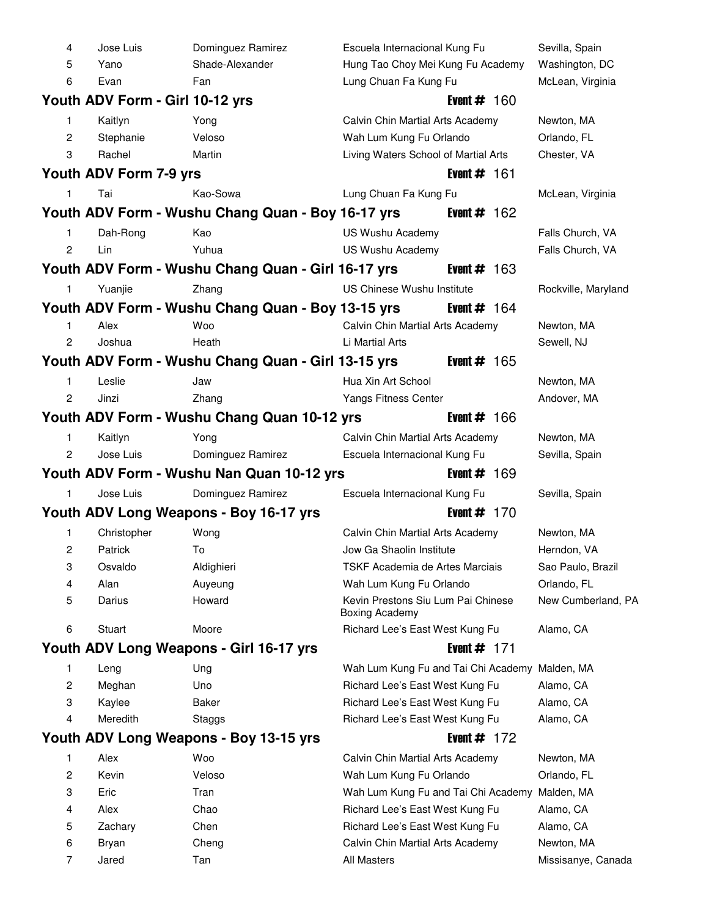| 4              | Jose Luis                       | Dominguez Ramirez                                  | Escuela Internacional Kung Fu                                                          |                | Sevilla, Spain                    |
|----------------|---------------------------------|----------------------------------------------------|----------------------------------------------------------------------------------------|----------------|-----------------------------------|
| 5              | Yano                            | Shade-Alexander                                    | Hung Tao Choy Mei Kung Fu Academy                                                      |                | Washington, DC                    |
| 6              | Evan                            | Fan                                                | Lung Chuan Fa Kung Fu                                                                  |                | McLean, Virginia                  |
|                | Youth ADV Form - Girl 10-12 yrs |                                                    |                                                                                        | Event $# 160$  |                                   |
| $\mathbf{1}$   | Kaitlyn                         | Yong                                               | Calvin Chin Martial Arts Academy                                                       |                | Newton, MA                        |
| $\overline{c}$ | Stephanie                       | Veloso                                             | Wah Lum Kung Fu Orlando                                                                |                | Orlando, FL                       |
| 3              | Rachel                          | Martin                                             | Living Waters School of Martial Arts                                                   |                | Chester, VA                       |
|                | Youth ADV Form 7-9 yrs          |                                                    |                                                                                        | Event $#$ 161  |                                   |
| $\mathbf{1}$   | Tai                             | Kao-Sowa                                           | Lung Chuan Fa Kung Fu                                                                  |                | McLean, Virginia                  |
|                |                                 | Youth ADV Form - Wushu Chang Quan - Boy 16-17 yrs  |                                                                                        | Event $\#$ 162 |                                   |
| $\mathbf{1}$   | Dah-Rong                        | Kao                                                | US Wushu Academy                                                                       |                | Falls Church, VA                  |
| $\overline{c}$ | Lin                             | Yuhua                                              | US Wushu Academy                                                                       |                | Falls Church, VA                  |
|                |                                 | Youth ADV Form - Wushu Chang Quan - Girl 16-17 yrs |                                                                                        | Event $# 163$  |                                   |
| 1              | Yuanjie                         | Zhang                                              | US Chinese Wushu Institute                                                             |                | Rockville, Maryland               |
|                |                                 | Youth ADV Form - Wushu Chang Quan - Boy 13-15 yrs  |                                                                                        | Event $\#$ 164 |                                   |
| 1.             | Alex                            | Woo                                                | Calvin Chin Martial Arts Academy                                                       |                | Newton, MA                        |
| 2              | Joshua                          | Heath                                              | Li Martial Arts                                                                        |                | Sewell, NJ                        |
|                |                                 | Youth ADV Form - Wushu Chang Quan - Girl 13-15 yrs |                                                                                        | Event $#$ 165  |                                   |
| 1.             | Leslie                          | Jaw                                                | Hua Xin Art School                                                                     |                | Newton, MA                        |
| $\overline{c}$ | Jinzi                           | Zhang                                              | Yangs Fitness Center                                                                   |                | Andover, MA                       |
|                |                                 | Youth ADV Form - Wushu Chang Quan 10-12 yrs        |                                                                                        | Event $\#$ 166 |                                   |
| 1.             | Kaitlyn                         | Yong                                               | Calvin Chin Martial Arts Academy                                                       |                | Newton, MA                        |
| 2              | Jose Luis                       | Dominguez Ramirez                                  | Escuela Internacional Kung Fu                                                          |                | Sevilla, Spain                    |
|                |                                 |                                                    |                                                                                        |                |                                   |
|                |                                 |                                                    |                                                                                        |                |                                   |
|                | Jose Luis                       | Youth ADV Form - Wushu Nan Quan 10-12 yrs          |                                                                                        | Event $# 169$  |                                   |
|                |                                 | Dominguez Ramirez                                  | Escuela Internacional Kung Fu                                                          |                | Sevilla, Spain                    |
|                |                                 | Youth ADV Long Weapons - Boy 16-17 yrs             |                                                                                        | Event $# 170$  |                                   |
| 1              | Christopher                     | Wong                                               | Calvin Chin Martial Arts Academy                                                       |                | Newton, MA                        |
| $\overline{c}$ | Patrick                         | To                                                 | Jow Ga Shaolin Institute                                                               |                | Herndon, VA                       |
| 3<br>4         | Osvaldo                         | Aldighieri                                         | TSKF Academia de Artes Marciais                                                        |                | Sao Paulo, Brazil                 |
| 5              | Alan<br>Darius                  | Auyeung<br>Howard                                  | Wah Lum Kung Fu Orlando<br>Kevin Prestons Siu Lum Pai Chinese<br><b>Boxing Academy</b> |                | Orlando, FL<br>New Cumberland, PA |
| 6              | Stuart                          | Moore                                              | Richard Lee's East West Kung Fu                                                        |                | Alamo, CA                         |
|                |                                 | Youth ADV Long Weapons - Girl 16-17 yrs            |                                                                                        | Event $#$ 171  |                                   |
| 1.             | Leng                            | Ung                                                | Wah Lum Kung Fu and Tai Chi Academy Malden, MA                                         |                |                                   |
| 2              | Meghan                          | Uno                                                | Richard Lee's East West Kung Fu                                                        |                | Alamo, CA                         |
| 3              | Kaylee                          | Baker                                              | Richard Lee's East West Kung Fu                                                        |                | Alamo, CA                         |
| 4              | Meredith                        | Staggs                                             | Richard Lee's East West Kung Fu                                                        |                | Alamo, CA                         |
|                |                                 | Youth ADV Long Weapons - Boy 13-15 yrs             |                                                                                        | Event $# 172$  |                                   |
| 1              | Alex                            | Woo                                                | Calvin Chin Martial Arts Academy                                                       |                | Newton, MA                        |
| 2              | Kevin                           | Veloso                                             | Wah Lum Kung Fu Orlando                                                                |                | Orlando, FL                       |
| 3              | Eric                            | Tran                                               | Wah Lum Kung Fu and Tai Chi Academy Malden, MA                                         |                |                                   |
| 4              | Alex                            | Chao                                               | Richard Lee's East West Kung Fu                                                        |                | Alamo, CA                         |
| 5              | Zachary                         | Chen                                               | Richard Lee's East West Kung Fu                                                        |                | Alamo, CA                         |
| 6              | Bryan                           | Cheng                                              | Calvin Chin Martial Arts Academy                                                       |                | Newton, MA                        |
| $\overline{7}$ | Jared                           | Tan                                                | All Masters                                                                            |                | Missisanye, Canada                |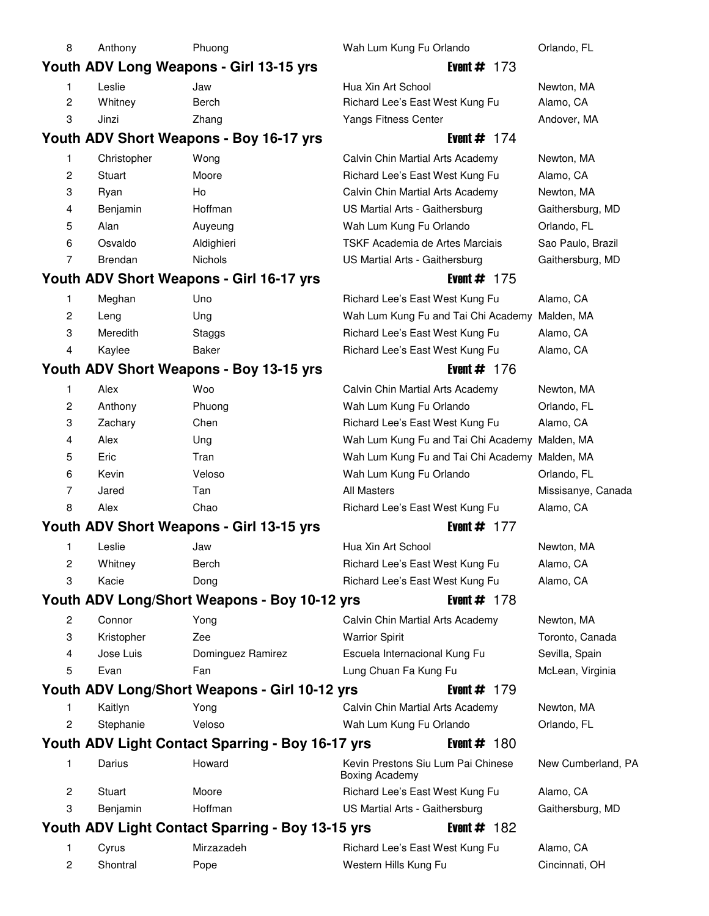| 8              | Anthony        | Phuong                                           | Wah Lum Kung Fu Orlando                              | Orlando, FL        |
|----------------|----------------|--------------------------------------------------|------------------------------------------------------|--------------------|
|                |                | Youth ADV Long Weapons - Girl 13-15 yrs          | Event $# 173$                                        |                    |
| 1              | Leslie         | Jaw                                              | Hua Xin Art School                                   | Newton, MA         |
| $\overline{c}$ | Whitney        | Berch                                            | Richard Lee's East West Kung Fu                      | Alamo, CA          |
| 3              | Jinzi          | Zhang                                            | Yangs Fitness Center                                 | Andover, MA        |
|                |                | Youth ADV Short Weapons - Boy 16-17 yrs          | Event $# 174$                                        |                    |
| 1              | Christopher    | Wong                                             | Calvin Chin Martial Arts Academy                     | Newton, MA         |
| $\overline{c}$ | Stuart         | Moore                                            | Richard Lee's East West Kung Fu                      | Alamo, CA          |
| 3              | Ryan           | Ho                                               | Calvin Chin Martial Arts Academy                     | Newton, MA         |
| 4              | Benjamin       | Hoffman                                          | US Martial Arts - Gaithersburg                       | Gaithersburg, MD   |
| 5              | Alan           | Auyeung                                          | Wah Lum Kung Fu Orlando                              | Orlando, FL        |
| 6              | Osvaldo        | Aldighieri                                       | TSKF Academia de Artes Marciais                      | Sao Paulo, Brazil  |
| 7              | <b>Brendan</b> | <b>Nichols</b>                                   | US Martial Arts - Gaithersburg                       | Gaithersburg, MD   |
|                |                | Youth ADV Short Weapons - Girl 16-17 yrs         | Event $\#$ 175                                       |                    |
| 1              | Meghan         | Uno                                              | Richard Lee's East West Kung Fu                      | Alamo, CA          |
| 2              | Leng           | Ung                                              | Wah Lum Kung Fu and Tai Chi Academy Malden, MA       |                    |
| 3              | Meredith       | Staggs                                           | Richard Lee's East West Kung Fu                      | Alamo, CA          |
| 4              | Kaylee         | <b>Baker</b>                                     | Richard Lee's East West Kung Fu                      | Alamo, CA          |
|                |                | Youth ADV Short Weapons - Boy 13-15 yrs          | Event $\#$ 176                                       |                    |
| 1              | Alex           | Woo                                              | Calvin Chin Martial Arts Academy                     | Newton, MA         |
| $\overline{c}$ | Anthony        | Phuong                                           | Wah Lum Kung Fu Orlando                              | Orlando, FL        |
| 3              | Zachary        | Chen                                             | Richard Lee's East West Kung Fu                      | Alamo, CA          |
| 4              | Alex           | Ung                                              | Wah Lum Kung Fu and Tai Chi Academy Malden, MA       |                    |
| 5              | Eric           | Tran                                             | Wah Lum Kung Fu and Tai Chi Academy Malden, MA       |                    |
| 6              | Kevin          | Veloso                                           | Wah Lum Kung Fu Orlando                              | Orlando, FL        |
| 7              | Jared          | Tan                                              | <b>All Masters</b>                                   | Missisanye, Canada |
| 8              | Alex           | Chao                                             | Richard Lee's East West Kung Fu                      | Alamo, CA          |
|                |                | Youth ADV Short Weapons - Girl 13-15 yrs         | Event $# 177$                                        |                    |
| 1              | Leslie         | Jaw                                              | Hua Xin Art School                                   | Newton, MA         |
| 2              | Whitney        | Berch                                            | Richard Lee's East West Kung Fu                      | Alamo, CA          |
| 3              | Kacie          | Dong                                             | Richard Lee's East West Kung Fu                      | Alamo, CA          |
|                |                | Youth ADV Long/Short Weapons - Boy 10-12 yrs     | Event $\#$ 178                                       |                    |
| 2              | Connor         | Yong                                             | Calvin Chin Martial Arts Academy                     | Newton, MA         |
| 3              | Kristopher     | Zee                                              | <b>Warrior Spirit</b>                                | Toronto, Canada    |
| 4              | Jose Luis      | Dominguez Ramirez                                | Escuela Internacional Kung Fu                        | Sevilla, Spain     |
| 5              | Evan           | Fan                                              | Lung Chuan Fa Kung Fu                                | McLean, Virginia   |
|                |                | Youth ADV Long/Short Weapons - Girl 10-12 yrs    | Event $# 179$                                        |                    |
| 1              | Kaitlyn        | Yong                                             | Calvin Chin Martial Arts Academy                     | Newton, MA         |
| 2              | Stephanie      | Veloso                                           | Wah Lum Kung Fu Orlando                              | Orlando, FL        |
|                |                | Youth ADV Light Contact Sparring - Boy 16-17 yrs | Event $# 180$                                        |                    |
| 1              | Darius         | Howard                                           | Kevin Prestons Siu Lum Pai Chinese<br>Boxing Academy | New Cumberland, PA |
| $\overline{c}$ | Stuart         | Moore                                            | Richard Lee's East West Kung Fu                      | Alamo, CA          |
| 3              | Benjamin       | Hoffman                                          | US Martial Arts - Gaithersburg                       | Gaithersburg, MD   |
|                |                | Youth ADV Light Contact Sparring - Boy 13-15 yrs | Event $\#$ 182                                       |                    |
| 1              | Cyrus          | Mirzazadeh                                       | Richard Lee's East West Kung Fu                      | Alamo, CA          |
| 2              | Shontral       | Pope                                             | Western Hills Kung Fu                                | Cincinnati, OH     |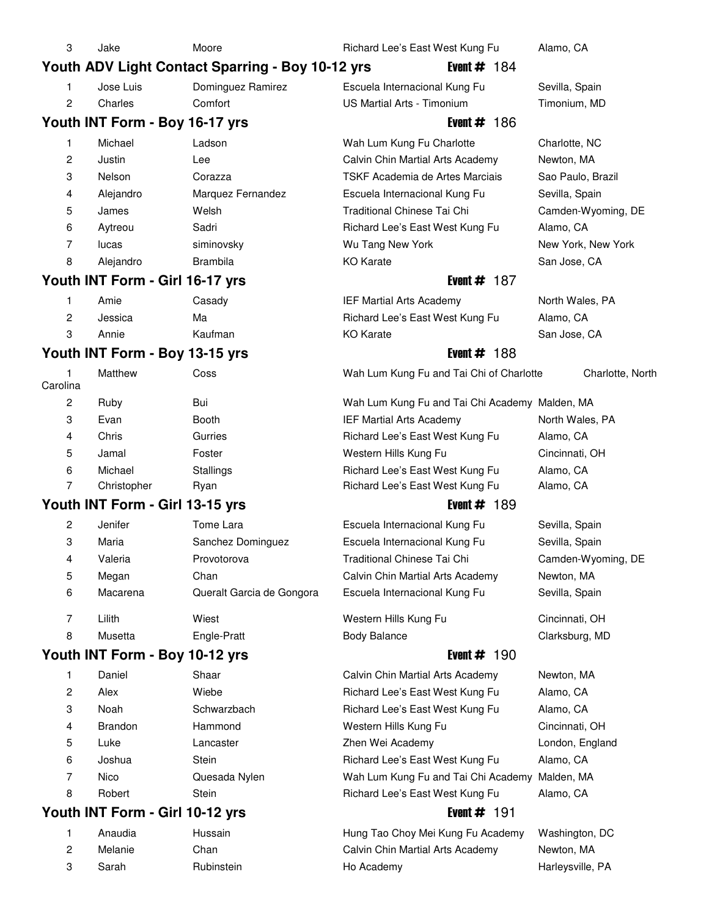| 3              | Jake                            | Moore                                            | Richard Lee's East West Kung Fu                                     | Alamo, CA                         |
|----------------|---------------------------------|--------------------------------------------------|---------------------------------------------------------------------|-----------------------------------|
|                |                                 | Youth ADV Light Contact Sparring - Boy 10-12 yrs | Event $# 184$                                                       |                                   |
|                | Jose Luis                       | Dominguez Ramirez                                | Escuela Internacional Kung Fu                                       | Sevilla, Spain                    |
| 2              | Charles                         | Comfort                                          | US Martial Arts - Timonium                                          | Timonium, MD                      |
|                | Youth INT Form - Boy 16-17 yrs  |                                                  | Event $#$ 186                                                       |                                   |
| 1              | Michael                         | Ladson                                           | Wah Lum Kung Fu Charlotte                                           | Charlotte, NC                     |
| $\overline{c}$ | Justin                          | Lee                                              | Calvin Chin Martial Arts Academy                                    | Newton, MA                        |
| 3              | Nelson                          | Corazza                                          | TSKF Academia de Artes Marciais                                     | Sao Paulo, Brazil                 |
| 4              | Alejandro                       | Marquez Fernandez                                | Escuela Internacional Kung Fu                                       | Sevilla, Spain                    |
| 5              | James                           | Welsh                                            | Traditional Chinese Tai Chi                                         | Camden-Wyoming, DE                |
| 6              | Aytreou                         | Sadri                                            | Richard Lee's East West Kung Fu                                     | Alamo, CA                         |
| 7              | lucas                           | siminovsky                                       | Wu Tang New York                                                    | New York, New York                |
| 8              | Alejandro                       | <b>Brambila</b>                                  | <b>KO</b> Karate                                                    | San Jose, CA                      |
|                | Youth INT Form - Girl 16-17 yrs |                                                  | Event $# 187$                                                       |                                   |
| 1              | Amie                            | Casady                                           | IEF Martial Arts Academy                                            | North Wales, PA                   |
| 2              | Jessica                         | Ma                                               | Richard Lee's East West Kung Fu                                     | Alamo, CA                         |
| 3              | Annie                           | Kaufman                                          | <b>KO</b> Karate                                                    | San Jose, CA                      |
|                | Youth INT Form - Boy 13-15 yrs  |                                                  | Event $# 188$                                                       |                                   |
|                | Matthew                         | Coss                                             | Wah Lum Kung Fu and Tai Chi of Charlotte                            | Charlotte, North                  |
| Carolina       |                                 |                                                  |                                                                     |                                   |
| $\mathbf{2}$   | Ruby                            | Bui                                              | Wah Lum Kung Fu and Tai Chi Academy Malden, MA                      |                                   |
| 3              | Evan                            | Booth                                            | IEF Martial Arts Academy                                            | North Wales, PA                   |
| 4              | Chris                           | Gurries                                          | Richard Lee's East West Kung Fu                                     | Alamo, CA                         |
| 5              | Jamal                           | Foster                                           | Western Hills Kung Fu                                               | Cincinnati, OH                    |
| 6              | Michael                         | Stallings                                        | Richard Lee's East West Kung Fu                                     | Alamo, CA                         |
|                |                                 |                                                  |                                                                     |                                   |
| 7              | Christopher                     | Ryan                                             | Richard Lee's East West Kung Fu                                     | Alamo, CA                         |
|                | Youth INT Form - Girl 13-15 yrs |                                                  | Event $# 189$                                                       |                                   |
| 2              | Jenifer                         | Tome Lara                                        | Escuela Internacional Kung Fu                                       | Sevilla, Spain                    |
| 3              | Maria                           | Sanchez Dominguez                                | Escuela Internacional Kung Fu                                       | Sevilla, Spain                    |
| 4              | Valeria                         | Provotorova                                      | Traditional Chinese Tai Chi                                         | Camden-Wyoming, DE                |
| 5              | Megan                           | Chan                                             | Calvin Chin Martial Arts Academy                                    | Newton, MA                        |
| 6              | Macarena                        | Queralt Garcia de Gongora                        | Escuela Internacional Kung Fu                                       | Sevilla, Spain                    |
| 7              | Lilith                          | Wiest                                            | Western Hills Kung Fu                                               | Cincinnati, OH                    |
| 8              | Musetta                         | Engle-Pratt                                      | <b>Body Balance</b>                                                 | Clarksburg, MD                    |
|                |                                 |                                                  | Event $# 190$                                                       |                                   |
| 1              | Youth INT Form - Boy 10-12 yrs  |                                                  |                                                                     |                                   |
| 2              | Daniel<br>Alex                  | Shaar<br>Wiebe                                   | Calvin Chin Martial Arts Academy<br>Richard Lee's East West Kung Fu | Newton, MA<br>Alamo, CA           |
| 3              | Noah                            | Schwarzbach                                      | Richard Lee's East West Kung Fu                                     | Alamo, CA                         |
| 4              | <b>Brandon</b>                  | Hammond                                          |                                                                     |                                   |
| 5              | Luke                            | Lancaster                                        | Western Hills Kung Fu<br>Zhen Wei Academy                           | Cincinnati, OH<br>London, England |
| 6              | Joshua                          | Stein                                            | Richard Lee's East West Kung Fu                                     | Alamo, CA                         |
| 7              | Nico                            | Quesada Nylen                                    | Wah Lum Kung Fu and Tai Chi Academy                                 | Malden, MA                        |
| 8              | Robert                          | Stein                                            | Richard Lee's East West Kung Fu                                     | Alamo, CA                         |
|                | Youth INT Form - Girl 10-12 yrs |                                                  | Event $# 191$                                                       |                                   |
| 1              | Anaudia                         | Hussain                                          | Hung Tao Choy Mei Kung Fu Academy                                   | Washington, DC                    |
| 2              | Melanie                         | Chan                                             | Calvin Chin Martial Arts Academy                                    | Newton, MA                        |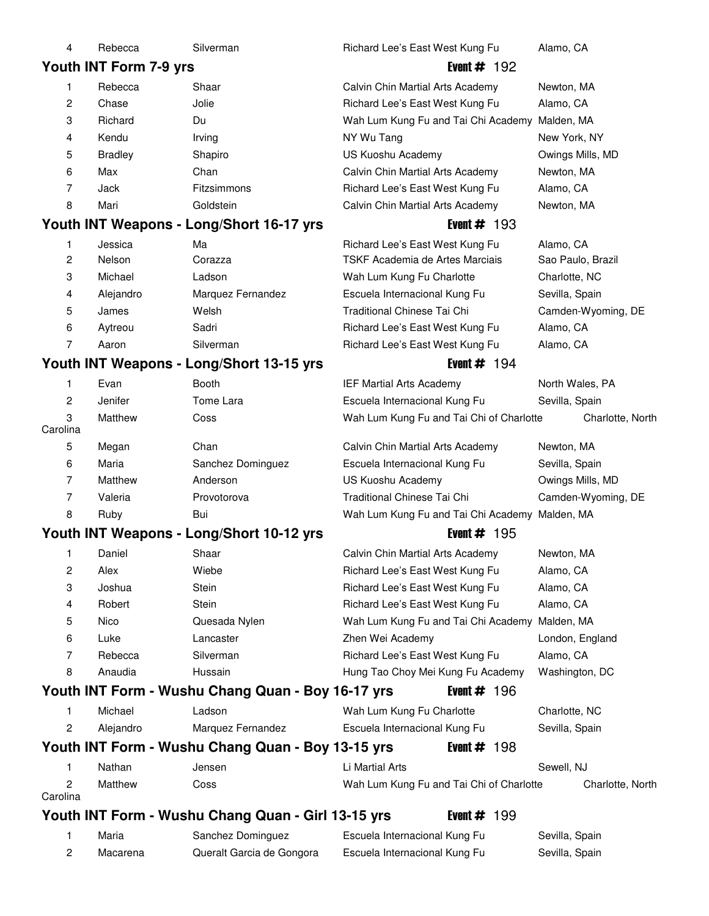| 4              | Rebecca                | Silverman                                          | Richard Lee's East West Kung Fu                | Alamo, CA          |
|----------------|------------------------|----------------------------------------------------|------------------------------------------------|--------------------|
|                | Youth INT Form 7-9 yrs |                                                    | Event $# 192$                                  |                    |
| 1              | Rebecca                | Shaar                                              | Calvin Chin Martial Arts Academy               | Newton, MA         |
| $\overline{c}$ | Chase                  | Jolie                                              | Richard Lee's East West Kung Fu                | Alamo, CA          |
| 3              | Richard                | Du                                                 | Wah Lum Kung Fu and Tai Chi Academy            | Malden, MA         |
| 4              | Kendu                  | Irving                                             | NY Wu Tang                                     | New York, NY       |
| 5              | <b>Bradley</b>         | Shapiro                                            | US Kuoshu Academy                              | Owings Mills, MD   |
| 6              | Max                    | Chan                                               | Calvin Chin Martial Arts Academy               | Newton, MA         |
| 7              | Jack                   | Fitzsimmons                                        | Richard Lee's East West Kung Fu                | Alamo, CA          |
| 8              | Mari                   | Goldstein                                          | Calvin Chin Martial Arts Academy               | Newton, MA         |
|                |                        | Youth INT Weapons - Long/Short 16-17 yrs           | Event $# 193$                                  |                    |
| 1              | Jessica                | Ma                                                 | Richard Lee's East West Kung Fu                | Alamo, CA          |
| 2              | Nelson                 | Corazza                                            | TSKF Academia de Artes Marciais                | Sao Paulo, Brazil  |
| 3              | Michael                | Ladson                                             | Wah Lum Kung Fu Charlotte                      | Charlotte, NC      |
| 4              | Alejandro              | Marquez Fernandez                                  | Escuela Internacional Kung Fu                  | Sevilla, Spain     |
| 5              | James                  | Welsh                                              | Traditional Chinese Tai Chi                    | Camden-Wyoming, DE |
| 6              | Aytreou                | Sadri                                              | Richard Lee's East West Kung Fu                | Alamo, CA          |
| $\overline{7}$ | Aaron                  | Silverman                                          | Richard Lee's East West Kung Fu                | Alamo, CA          |
|                |                        | Youth INT Weapons - Long/Short 13-15 yrs           | Event $# 194$                                  |                    |
| 1              | Evan                   | <b>Booth</b>                                       | <b>IEF Martial Arts Academy</b>                | North Wales, PA    |
| $\overline{c}$ | Jenifer                | Tome Lara                                          | Escuela Internacional Kung Fu                  | Sevilla, Spain     |
| 3<br>Carolina  | Matthew                | Coss                                               | Wah Lum Kung Fu and Tai Chi of Charlotte       | Charlotte, North   |
| 5              | Megan                  | Chan                                               | Calvin Chin Martial Arts Academy               | Newton, MA         |
| 6              | Maria                  | Sanchez Dominguez                                  | Escuela Internacional Kung Fu                  | Sevilla, Spain     |
| 7              | Matthew                | Anderson                                           | US Kuoshu Academy                              | Owings Mills, MD   |
| 7              | Valeria                | Provotorova                                        | Traditional Chinese Tai Chi                    | Camden-Wyoming, DE |
| 8              | Ruby                   | Bui                                                | Wah Lum Kung Fu and Tai Chi Academy Malden, MA |                    |
|                |                        | Youth INT Weapons - Long/Short 10-12 yrs           | Event $#$ 195                                  |                    |
| 1              | Daniel                 | Shaar                                              | Calvin Chin Martial Arts Academy               | Newton, MA         |
| 2              | Alex                   | Wiebe                                              | Richard Lee's East West Kung Fu                | Alamo, CA          |
| 3              | Joshua                 | Stein                                              | Richard Lee's East West Kung Fu                | Alamo, CA          |
| 4              | Robert                 | Stein                                              | Richard Lee's East West Kung Fu                | Alamo, CA          |
| 5              | Nico                   | Quesada Nylen                                      | Wah Lum Kung Fu and Tai Chi Academy Malden, MA |                    |
| 6              | Luke                   | Lancaster                                          | Zhen Wei Academy                               | London, England    |
| 7              | Rebecca                | Silverman                                          | Richard Lee's East West Kung Fu                | Alamo, CA          |
| 8              | Anaudia                | Hussain                                            | Hung Tao Choy Mei Kung Fu Academy              | Washington, DC     |
|                |                        | Youth INT Form - Wushu Chang Quan - Boy 16-17 yrs  | Event $#$ 196                                  |                    |
| 1              | Michael                | Ladson                                             | Wah Lum Kung Fu Charlotte                      | Charlotte, NC      |
| 2              | Alejandro              | Marquez Fernandez                                  | Escuela Internacional Kung Fu                  | Sevilla, Spain     |
|                |                        | Youth INT Form - Wushu Chang Quan - Boy 13-15 yrs  | Event $\#$ 198                                 |                    |
| 1              | Nathan                 | Jensen                                             | Li Martial Arts                                | Sewell, NJ         |
| $\overline{2}$ | Matthew                | Coss                                               | Wah Lum Kung Fu and Tai Chi of Charlotte       | Charlotte, North   |
| Carolina       |                        |                                                    |                                                |                    |
|                |                        | Youth INT Form - Wushu Chang Quan - Girl 13-15 yrs | Event $# 199$                                  |                    |
| 1              | Maria                  | Sanchez Dominguez                                  | Escuela Internacional Kung Fu                  | Sevilla, Spain     |
| 2              | Macarena               | Queralt Garcia de Gongora                          | Escuela Internacional Kung Fu                  | Sevilla, Spain     |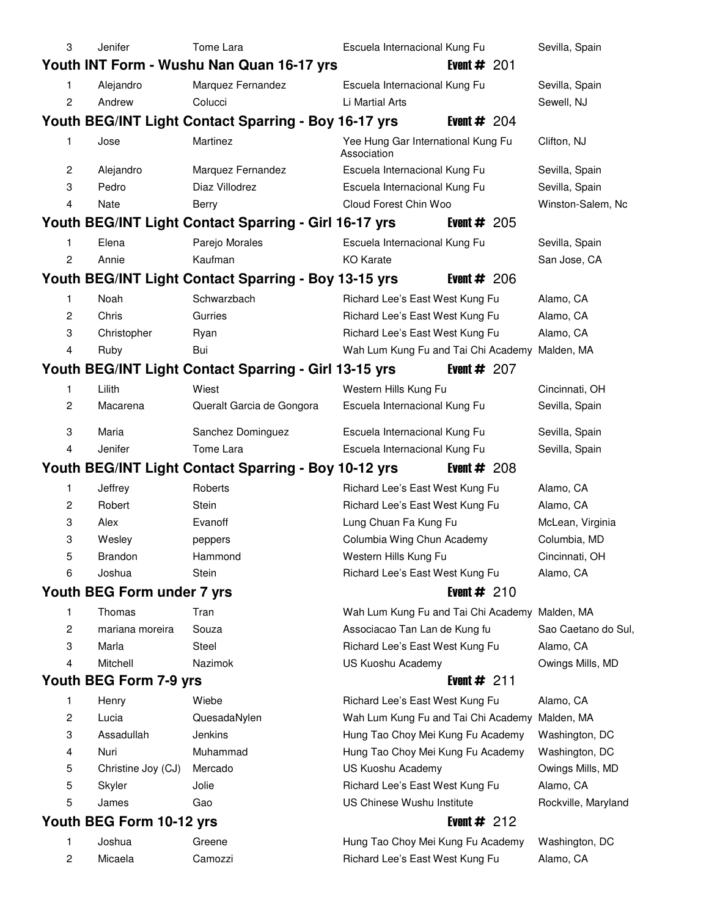| 3              | Jenifer                    | Tome Lara                                             | Escuela Internacional Kung Fu                     |                | Sevilla, Spain      |
|----------------|----------------------------|-------------------------------------------------------|---------------------------------------------------|----------------|---------------------|
|                |                            | Youth INT Form - Wushu Nan Quan 16-17 yrs             |                                                   | Event $#201$   |                     |
| 1              | Alejandro                  | Marquez Fernandez                                     | Escuela Internacional Kung Fu                     |                | Sevilla, Spain      |
| 2              | Andrew                     | Colucci                                               | Li Martial Arts                                   |                | Sewell, NJ          |
|                |                            | Youth BEG/INT Light Contact Sparring - Boy 16-17 yrs  |                                                   | Event $# 204$  |                     |
| 1              | Jose                       | Martinez                                              | Yee Hung Gar International Kung Fu<br>Association |                | Clifton, NJ         |
| $\overline{c}$ | Alejandro                  | Marquez Fernandez                                     | Escuela Internacional Kung Fu                     |                | Sevilla, Spain      |
| 3              | Pedro                      | Diaz Villodrez                                        | Escuela Internacional Kung Fu                     |                | Sevilla, Spain      |
| 4              | Nate                       | Berry                                                 | Cloud Forest Chin Woo                             |                | Winston-Salem, Nc   |
|                |                            | Youth BEG/INT Light Contact Sparring - Girl 16-17 yrs |                                                   | Event $\#$ 205 |                     |
| 1              | Elena                      | Parejo Morales                                        | Escuela Internacional Kung Fu                     |                | Sevilla, Spain      |
| $\overline{c}$ | Annie                      | Kaufman                                               | <b>KO</b> Karate                                  |                | San Jose, CA        |
|                |                            | Youth BEG/INT Light Contact Sparring - Boy 13-15 yrs  |                                                   | Event $\#$ 206 |                     |
| 1              | Noah                       | Schwarzbach                                           | Richard Lee's East West Kung Fu                   |                | Alamo, CA           |
| 2              | Chris                      | Gurries                                               | Richard Lee's East West Kung Fu                   |                | Alamo, CA           |
| 3              | Christopher                | Ryan                                                  | Richard Lee's East West Kung Fu                   |                | Alamo, CA           |
| 4              | Ruby                       | Bui                                                   | Wah Lum Kung Fu and Tai Chi Academy Malden, MA    |                |                     |
|                |                            | Youth BEG/INT Light Contact Sparring - Girl 13-15 yrs |                                                   | Event $# 207$  |                     |
| 1              | Lilith                     | Wiest                                                 | Western Hills Kung Fu                             |                | Cincinnati, OH      |
| 2              | Macarena                   | Queralt Garcia de Gongora                             | Escuela Internacional Kung Fu                     |                | Sevilla, Spain      |
| 3              | Maria                      | Sanchez Dominguez                                     | Escuela Internacional Kung Fu                     |                | Sevilla, Spain      |
| $\overline{4}$ | Jenifer                    | Tome Lara                                             | Escuela Internacional Kung Fu                     |                | Sevilla, Spain      |
|                |                            |                                                       |                                                   |                |                     |
|                |                            | Youth BEG/INT Light Contact Sparring - Boy 10-12 yrs  |                                                   | Event $\#$ 208 |                     |
| 1              | Jeffrey                    | Roberts                                               | Richard Lee's East West Kung Fu                   |                | Alamo, CA           |
| 2              | Robert                     | Stein                                                 | Richard Lee's East West Kung Fu                   |                | Alamo, CA           |
| 3              | Alex                       | Evanoff                                               | Lung Chuan Fa Kung Fu                             |                | McLean, Virginia    |
| 3              | Wesley                     | peppers                                               | Columbia Wing Chun Academy                        |                | Columbia, MD        |
| 5              | <b>Brandon</b>             | Hammond                                               | Western Hills Kung Fu                             |                | Cincinnati, OH      |
| 6              | Joshua                     | Stein                                                 | Richard Lee's East West Kung Fu                   |                | Alamo, CA           |
|                | Youth BEG Form under 7 yrs |                                                       |                                                   | Event $#210$   |                     |
| 1              | Thomas                     | Tran                                                  | Wah Lum Kung Fu and Tai Chi Academy               |                | Malden, MA          |
| 2              | mariana moreira            | Souza                                                 | Associacao Tan Lan de Kung fu                     |                | Sao Caetano do Sul, |
| 3              | Marla                      | Steel                                                 | Richard Lee's East West Kung Fu                   |                | Alamo, CA           |
| 4              | Mitchell                   | Nazimok                                               | US Kuoshu Academy                                 |                | Owings Mills, MD    |
|                | Youth BEG Form 7-9 yrs     |                                                       |                                                   | Event $#211$   |                     |
| 1              | Henry                      | Wiebe                                                 | Richard Lee's East West Kung Fu                   |                | Alamo, CA           |
| 2              | Lucia                      | QuesadaNylen                                          | Wah Lum Kung Fu and Tai Chi Academy               |                | Malden, MA          |
| 3              | Assadullah                 | Jenkins                                               | Hung Tao Choy Mei Kung Fu Academy                 |                | Washington, DC      |
| 4              | Nuri                       | Muhammad                                              | Hung Tao Choy Mei Kung Fu Academy                 |                | Washington, DC      |
| 5              | Christine Joy (CJ)         | Mercado                                               | US Kuoshu Academy                                 |                | Owings Mills, MD    |
| 5              | Skyler                     | Jolie                                                 | Richard Lee's East West Kung Fu                   |                | Alamo, CA           |
| 5              | James                      | Gao                                                   | US Chinese Wushu Institute                        |                | Rockville, Maryland |
|                | Youth BEG Form 10-12 yrs   |                                                       |                                                   | Event $#212$   |                     |
| 1              | Joshua                     | Greene                                                | Hung Tao Choy Mei Kung Fu Academy                 |                | Washington, DC      |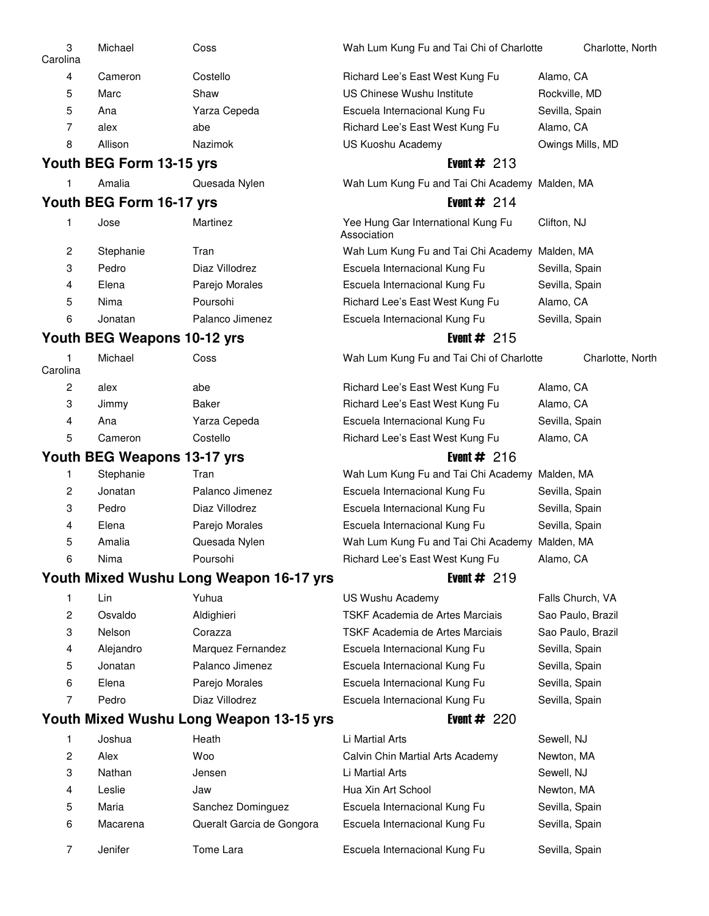| 3<br>Carolina | Michael                                  | Coss                                    | Wah Lum Kung Fu and Tai Chi of Charlotte          | Charlotte, North  |
|---------------|------------------------------------------|-----------------------------------------|---------------------------------------------------|-------------------|
| 4             | Cameron                                  | Costello                                | Richard Lee's East West Kung Fu                   | Alamo, CA         |
| 5             | Marc                                     | Shaw                                    | US Chinese Wushu Institute                        | Rockville, MD     |
| 5             | Ana                                      | Yarza Cepeda                            | Escuela Internacional Kung Fu                     | Sevilla, Spain    |
| 7             | alex                                     | abe                                     | Richard Lee's East West Kung Fu                   | Alamo, CA         |
| 8             | Allison                                  | Nazimok                                 | US Kuoshu Academy                                 | Owings Mills, MD  |
|               | Youth BEG Form 13-15 yrs                 |                                         | Event $#213$                                      |                   |
|               | Amalia                                   | Quesada Nylen                           | Wah Lum Kung Fu and Tai Chi Academy Malden, MA    |                   |
|               | Youth BEG Form 16-17 yrs                 |                                         | Event $# 214$                                     |                   |
| 1             | Jose                                     | Martinez                                | Yee Hung Gar International Kung Fu<br>Association | Clifton, NJ       |
| 2             | Stephanie                                | Tran                                    | Wah Lum Kung Fu and Tai Chi Academy Malden, MA    |                   |
| 3             | Pedro                                    | Diaz Villodrez                          | Escuela Internacional Kung Fu                     | Sevilla, Spain    |
| 4             | Elena                                    | Parejo Morales                          | Escuela Internacional Kung Fu                     | Sevilla, Spain    |
| 5             | Nima                                     | Poursohi                                | Richard Lee's East West Kung Fu                   | Alamo, CA         |
| 6             | Jonatan                                  | Palanco Jimenez                         | Escuela Internacional Kung Fu                     | Sevilla, Spain    |
|               | Youth BEG Weapons 10-12 yrs              |                                         | Event $#215$                                      |                   |
| 1<br>Carolina | Michael                                  | Coss                                    | Wah Lum Kung Fu and Tai Chi of Charlotte          | Charlotte, North  |
| 2             | alex                                     | abe                                     | Richard Lee's East West Kung Fu                   | Alamo, CA         |
| 3             | Jimmy                                    | <b>Baker</b>                            | Richard Lee's East West Kung Fu                   | Alamo, CA         |
| 4             | Ana                                      | Yarza Cepeda                            | Escuela Internacional Kung Fu                     | Sevilla, Spain    |
| 5             | Cameron                                  | Costello                                | Richard Lee's East West Kung Fu                   | Alamo, CA         |
|               |                                          |                                         |                                                   |                   |
|               |                                          |                                         | Event $# 216$                                     |                   |
| 1             | Youth BEG Weapons 13-17 yrs<br>Stephanie | Tran                                    | Wah Lum Kung Fu and Tai Chi Academy Malden, MA    |                   |
| 2             | Jonatan                                  | Palanco Jimenez                         | Escuela Internacional Kung Fu                     | Sevilla, Spain    |
| 3             | Pedro                                    | Diaz Villodrez                          | Escuela Internacional Kung Fu                     | Sevilla, Spain    |
| 4             | Elena                                    | Parejo Morales                          | Escuela Internacional Kung Fu                     | Sevilla, Spain    |
| 5             | Amalia                                   | Quesada Nylen                           | Wah Lum Kung Fu and Tai Chi Academy Malden, MA    |                   |
| 6             | Nima                                     | Poursohi                                | Richard Lee's East West Kung Fu                   | Alamo, CA         |
|               |                                          | Youth Mixed Wushu Long Weapon 16-17 yrs | Event $#219$                                      |                   |
| 1             | Lin                                      | Yuhua                                   | US Wushu Academy                                  | Falls Church, VA  |
| 2             | Osvaldo                                  | Aldighieri                              | TSKF Academia de Artes Marciais                   | Sao Paulo, Brazil |
| 3             | Nelson                                   | Corazza                                 | TSKF Academia de Artes Marciais                   | Sao Paulo, Brazil |
| 4             | Alejandro                                | Marquez Fernandez                       | Escuela Internacional Kung Fu                     | Sevilla, Spain    |
| 5             | Jonatan                                  | Palanco Jimenez                         | Escuela Internacional Kung Fu                     | Sevilla, Spain    |
| 6             | Elena                                    | Parejo Morales                          | Escuela Internacional Kung Fu                     | Sevilla, Spain    |
| 7             | Pedro                                    | Diaz Villodrez                          | Escuela Internacional Kung Fu                     | Sevilla, Spain    |
|               |                                          | Youth Mixed Wushu Long Weapon 13-15 yrs | Event $#220$                                      |                   |
| 1             | Joshua                                   | Heath                                   | Li Martial Arts                                   | Sewell, NJ        |
| 2             | Alex                                     | Woo                                     | Calvin Chin Martial Arts Academy                  | Newton, MA        |
| 3             | Nathan                                   | Jensen                                  | Li Martial Arts                                   | Sewell, NJ        |
| 4             | Leslie                                   | Jaw                                     | Hua Xin Art School                                | Newton, MA        |
| 5             | Maria                                    | Sanchez Dominguez                       | Escuela Internacional Kung Fu                     | Sevilla, Spain    |
| 6             | Macarena                                 | Queralt Garcia de Gongora               | Escuela Internacional Kung Fu                     | Sevilla, Spain    |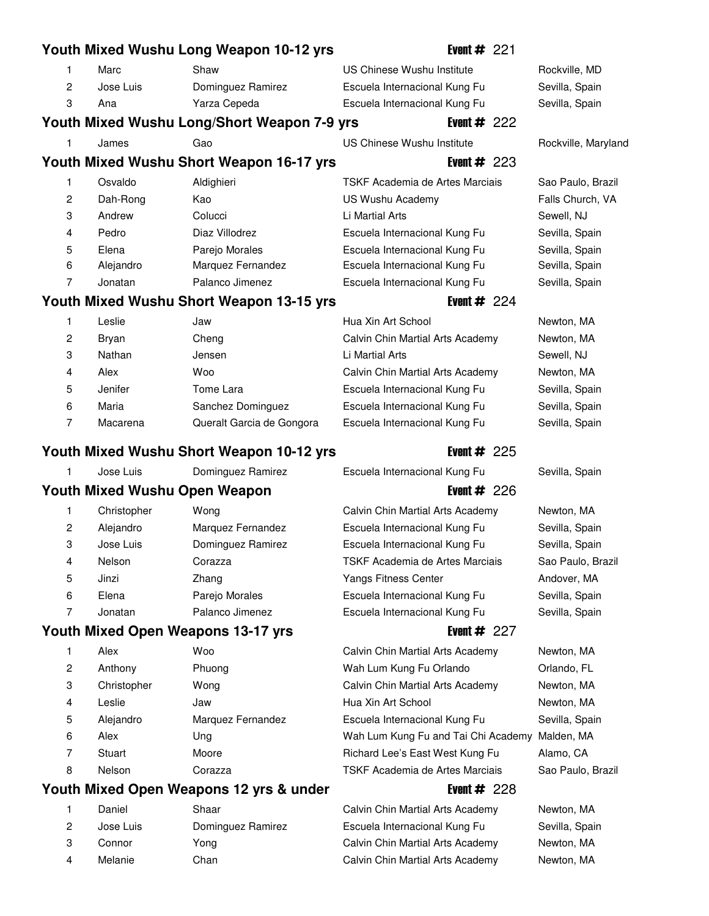|                |                                      | Youth Mixed Wushu Long Weapon 10-12 yrs     | Event $#221$                                                   |                                  |
|----------------|--------------------------------------|---------------------------------------------|----------------------------------------------------------------|----------------------------------|
| 1              | Marc                                 | Shaw                                        | US Chinese Wushu Institute                                     | Rockville, MD                    |
| 2              | Jose Luis                            | Dominguez Ramirez                           | Escuela Internacional Kung Fu                                  | Sevilla, Spain                   |
| 3              | Ana                                  | Yarza Cepeda                                | Escuela Internacional Kung Fu                                  | Sevilla, Spain                   |
|                |                                      | Youth Mixed Wushu Long/Short Weapon 7-9 yrs | Event $# 222$                                                  |                                  |
| 1              | James                                | Gao                                         | US Chinese Wushu Institute                                     | Rockville, Maryland              |
|                |                                      | Youth Mixed Wushu Short Weapon 16-17 yrs    | Event $#223$                                                   |                                  |
| 1              | Osvaldo                              | Aldighieri                                  | TSKF Academia de Artes Marciais                                | Sao Paulo, Brazil                |
| 2              | Dah-Rong                             | Kao                                         | US Wushu Academy                                               | Falls Church, VA                 |
| 3              | Andrew                               | Colucci                                     | Li Martial Arts                                                | Sewell, NJ                       |
| 4              | Pedro                                | Diaz Villodrez                              | Escuela Internacional Kung Fu                                  | Sevilla, Spain                   |
| 5              | Elena                                | Parejo Morales                              | Escuela Internacional Kung Fu                                  | Sevilla, Spain                   |
| 6              | Alejandro                            | Marquez Fernandez                           | Escuela Internacional Kung Fu                                  | Sevilla, Spain                   |
| 7              | Jonatan                              | Palanco Jimenez                             | Escuela Internacional Kung Fu                                  | Sevilla, Spain                   |
|                |                                      | Youth Mixed Wushu Short Weapon 13-15 yrs    | Event $#224$                                                   |                                  |
| 1              | Leslie                               | Jaw                                         | Hua Xin Art School                                             | Newton, MA                       |
| 2              | Bryan                                | Cheng                                       | Calvin Chin Martial Arts Academy                               | Newton, MA                       |
| 3              | Nathan                               | Jensen                                      | Li Martial Arts                                                | Sewell, NJ                       |
| 4              | Alex                                 | Woo                                         | Calvin Chin Martial Arts Academy                               | Newton, MA                       |
| 5              | Jenifer                              | Tome Lara                                   | Escuela Internacional Kung Fu                                  | Sevilla, Spain                   |
| 6              | Maria                                | Sanchez Dominguez                           | Escuela Internacional Kung Fu                                  | Sevilla, Spain                   |
| $\overline{7}$ | Macarena                             | Queralt Garcia de Gongora                   | Escuela Internacional Kung Fu                                  | Sevilla, Spain                   |
|                |                                      |                                             |                                                                |                                  |
|                |                                      | Youth Mixed Wushu Short Weapon 10-12 yrs    | Event $#225$                                                   |                                  |
| 1              | Jose Luis                            | Dominguez Ramirez                           | Escuela Internacional Kung Fu                                  |                                  |
|                | <b>Youth Mixed Wushu Open Weapon</b> |                                             | Event $#226$                                                   | Sevilla, Spain                   |
| 1              |                                      |                                             |                                                                |                                  |
| 2              | Christopher                          | Wong                                        | Calvin Chin Martial Arts Academy                               | Newton, MA                       |
| 3              | Alejandro<br>Jose Luis               | Marquez Fernandez<br>Dominguez Ramirez      | Escuela Internacional Kung Fu<br>Escuela Internacional Kung Fu | Sevilla, Spain                   |
| 4              |                                      |                                             |                                                                | Sevilla, Spain                   |
| 5              | Nelson<br>Jinzi                      | Corazza<br>Zhang                            | TSKF Academia de Artes Marciais                                | Sao Paulo, Brazil                |
| 6              | Elena                                |                                             | Yangs Fitness Center<br>Escuela Internacional Kung Fu          | Andover, MA                      |
| 7              | Jonatan                              | Parejo Morales<br>Palanco Jimenez           | Escuela Internacional Kung Fu                                  | Sevilla, Spain<br>Sevilla, Spain |
|                |                                      | <b>Youth Mixed Open Weapons 13-17 yrs</b>   | Event $#227$                                                   |                                  |
| 1              | Alex                                 | Woo                                         | Calvin Chin Martial Arts Academy                               | Newton, MA                       |
| 2              | Anthony                              | Phuong                                      | Wah Lum Kung Fu Orlando                                        | Orlando, FL                      |
| 3              | Christopher                          | Wong                                        | Calvin Chin Martial Arts Academy                               | Newton, MA                       |
| 4              | Leslie                               | Jaw                                         | Hua Xin Art School                                             | Newton, MA                       |
| 5              | Alejandro                            | Marquez Fernandez                           | Escuela Internacional Kung Fu                                  | Sevilla, Spain                   |
| 6              | Alex                                 | Ung                                         | Wah Lum Kung Fu and Tai Chi Academy Malden, MA                 |                                  |
| 7              | Stuart                               | Moore                                       | Richard Lee's East West Kung Fu                                | Alamo, CA                        |
| 8              | Nelson                               | Corazza                                     | TSKF Academia de Artes Marciais                                | Sao Paulo, Brazil                |
|                |                                      | Youth Mixed Open Weapons 12 yrs & under     | Event $# 228$                                                  |                                  |
| 1              | Daniel                               | Shaar                                       | Calvin Chin Martial Arts Academy                               | Newton, MA                       |

3 Connor Yong 25 Calvin Chin Martial Arts Academy Newton, MA

4 Melanie Chan 14 Chan 14 Calvin Chin Martial Arts Academy Newton, MA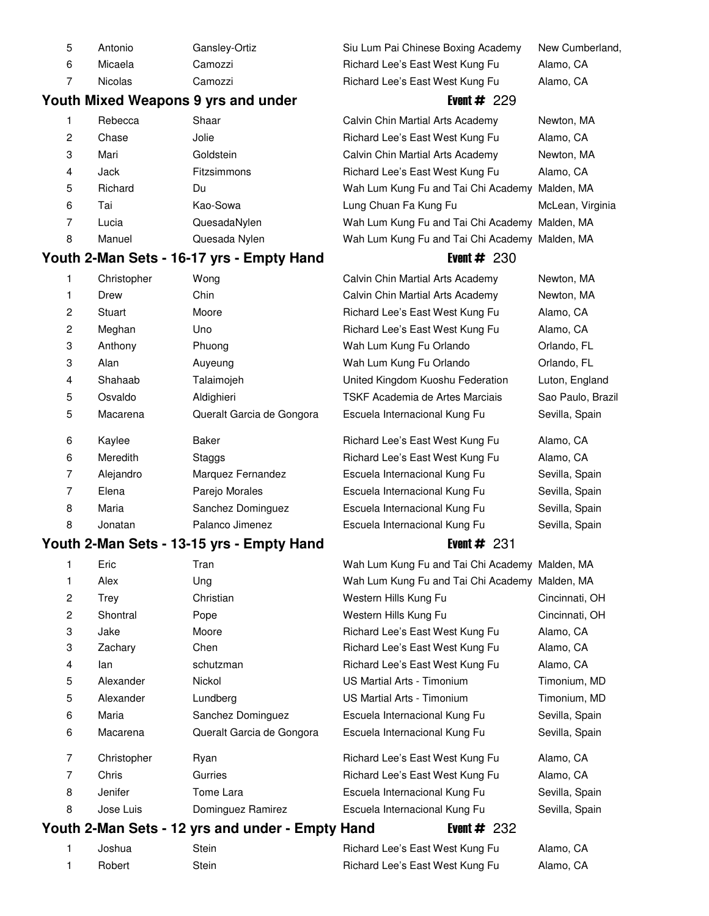| -5 | Antonio | Gansley-Ort |
|----|---------|-------------|
|    | Micoolo | $C$ amozzi  |

# **Youth Mixed Weapons 9 yrs and under Frame All Structure Figure 4 and Event # 229**

| 1            | Rebecca | Shaar         |
|--------------|---------|---------------|
| $\mathbf{2}$ | Chase   | Jolie         |
| 3            | Mari    | Goldstein     |
| 4            | Jack    | Fitzsimmons   |
| 5            | Richard | Du            |
| 6            | Tai     | Kao-Sowa      |
| 7            | Lucia   | QuesadaNylen  |
| 8            | Manuel  | Quesada Nylen |

### **Youth 2-Man Sets - 16-17 yrs - Empty Hand** Event # 230

8 Jonatan Palanco Jimenez **63 Escuela Internacional Kung Fu** Sevilla, Spain

## **Youth 2-Man Sets - 13-15 yrs - Empty Hand** Free Event # 231

| 1              | Christopher | Wong                      | Calvin Chin Martial Arts Academy | Newton, MA        |
|----------------|-------------|---------------------------|----------------------------------|-------------------|
| 1              | Drew        | Chin                      | Calvin Chin Martial Arts Academy | Newton, MA        |
| $\overline{c}$ | Stuart      | Moore                     | Richard Lee's East West Kung Fu  | Alamo, CA         |
| 2              | Meghan      | Uno                       | Richard Lee's East West Kung Fu  | Alamo, CA         |
| 3              | Anthony     | Phuong                    | Wah Lum Kung Fu Orlando          | Orlando, FL       |
| 3              | Alan        | Auyeung                   | Wah Lum Kung Fu Orlando          | Orlando, FL       |
| 4              | Shahaab     | Talaimojeh                | United Kingdom Kuoshu Federation | Luton, England    |
| 5              | Osvaldo     | Aldighieri                | TSKF Academia de Artes Marciais  | Sao Paulo, Brazil |
| 5              | Macarena    | Queralt Garcia de Gongora | Escuela Internacional Kung Fu    | Sevilla, Spain    |
| 6              | Kaylee      | Baker                     | Richard Lee's East West Kung Fu  | Alamo, CA         |
| 6              | Meredith    | Staggs                    | Richard Lee's East West Kung Fu  | Alamo, CA         |
| 7              | Alejandro   | Marquez Fernandez         | Escuela Internacional Kung Fu    | Sevilla, Spain    |
| 7              | Elena       | Parejo Morales            | Escuela Internacional Kung Fu    | Sevilla, Spain    |
| 8              | Maria       | Sanchez Dominguez         | Escuela Internacional Kung Fu    | Sevilla, Spain    |
|                |             |                           |                                  |                   |

# 8 Maria Sanchez Dominguez Escuela Internacional Kung Fu Sevilla, Spain

iz Siu Lum Pai Chinese Boxing Academy New Cumberland, 6 Micaela Camozzi 10 Richard Lee's East West Kung Fu Alamo, CA 7 Nicolas Camozzi 10 Camozzi Richard Lee's East West Kung Fu Alamo, CA

Calvin Chin Martial Arts Academy Newton, MA Richard Lee's East West Kung Fu Alamo, CA Calvin Chin Martial Arts Academy Newton, MA Richard Lee's East West Kung Fu Alamo, CA Wah Lum Kung Fu and Tai Chi Academy Malden, MA Lung Chuan Fa Kung Fu **McLean, Virginia** Wah Lum Kung Fu and Tai Chi Academy Malden, MA Wah Lum Kung Fu and Tai Chi Academy Malden, MA

| 1            | Eric        | Tran                      | Wah Lum Kung Fu and Tai Chi Academy Malden, MA |                |
|--------------|-------------|---------------------------|------------------------------------------------|----------------|
| $\mathbf{1}$ | Alex        | Ung                       | Wah Lum Kung Fu and Tai Chi Academy Malden, MA |                |
| 2            | Trev        | Christian                 | Western Hills Kung Fu                          | Cincinnati, OH |
| 2            | Shontral    | Pope                      | Western Hills Kung Fu                          | Cincinnati, OH |
| 3            | Jake        | Moore                     | Richard Lee's East West Kung Fu                | Alamo, CA      |
| 3            | Zachary     | Chen                      | Richard Lee's East West Kung Fu                | Alamo, CA      |
| 4            | lan         | schutzman                 | Richard Lee's East West Kung Fu                | Alamo, CA      |
| 5            | Alexander   | Nickol                    | US Martial Arts - Timonium                     | Timonium, MD   |
| 5            | Alexander   | Lundberg                  | US Martial Arts - Timonium                     | Timonium, MD   |
| 6            | Maria       | Sanchez Dominguez         | Escuela Internacional Kung Fu                  | Sevilla, Spain |
| 6            | Macarena    | Queralt Garcia de Gongora | Escuela Internacional Kung Fu                  | Sevilla, Spain |
| 7            | Christopher | Ryan                      | Richard Lee's East West Kung Fu                | Alamo, CA      |

7 Chris Gurries 69 Gurries Richard Lee's East West Kung Fu Alamo, CA 8 Jenifer Tome Lara 60 Escuela Internacional Kung Fu Sevilla, Spain 8 Jose Luis Dominguez Ramirez **79 Escuela Internacional Kung Fu** Sevilla, Spain

# **Youth 2-Man Sets - 12 yrs and under - Empty Hand Figure 4 Figure # 232**

| Joshua | Stein | Richard Lee's East West Kung Fu | Alamo, CA |
|--------|-------|---------------------------------|-----------|
| Robert | Stein | Richard Lee's East West Kung Fu | Alamo, CA |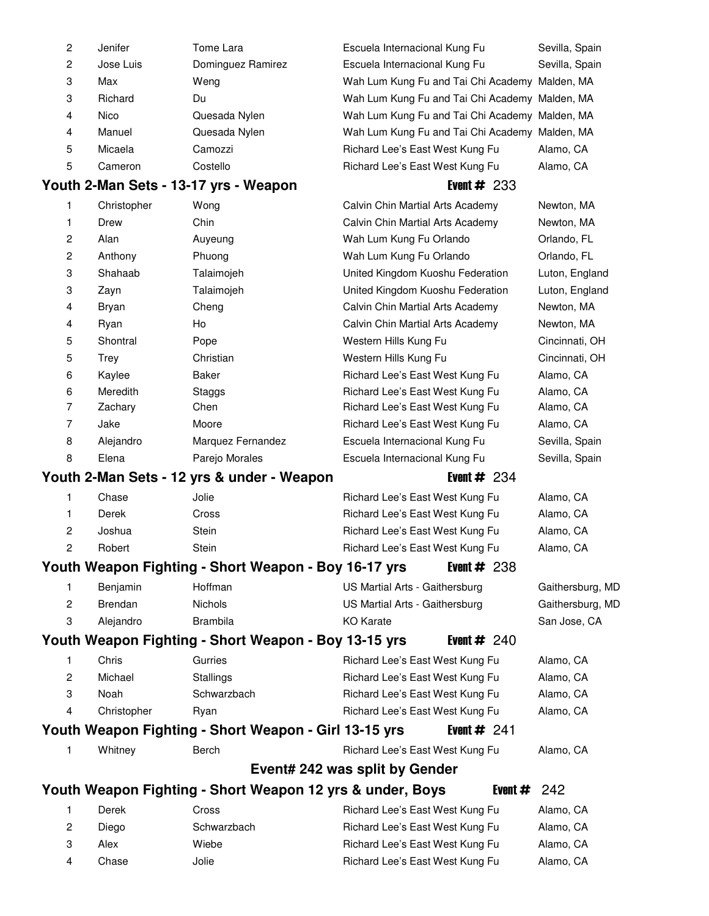| 2              | Jenifer     | Tome Lara                                             | Escuela Internacional Kung Fu                                        | Sevilla, Spain   |
|----------------|-------------|-------------------------------------------------------|----------------------------------------------------------------------|------------------|
| $\overline{c}$ | Jose Luis   | Dominguez Ramirez                                     | Escuela Internacional Kung Fu                                        | Sevilla, Spain   |
| 3              | Max         | Weng                                                  | Wah Lum Kung Fu and Tai Chi Academy Malden, MA                       |                  |
| 3              | Richard     | Du                                                    | Wah Lum Kung Fu and Tai Chi Academy Malden, MA                       |                  |
| 4              | Nico        | Quesada Nylen                                         | Wah Lum Kung Fu and Tai Chi Academy Malden, MA                       |                  |
| 4              | Manuel      | Quesada Nylen                                         | Wah Lum Kung Fu and Tai Chi Academy Malden, MA                       |                  |
| 5              | Micaela     | Camozzi                                               | Richard Lee's East West Kung Fu                                      | Alamo, CA        |
| 5              | Cameron     | Costello                                              | Richard Lee's East West Kung Fu                                      | Alamo, CA        |
|                |             | Youth 2-Man Sets - 13-17 yrs - Weapon                 | Event $#233$                                                         |                  |
| 1              | Christopher | Wong                                                  | Calvin Chin Martial Arts Academy                                     | Newton, MA       |
| 1              | Drew        | Chin                                                  | Calvin Chin Martial Arts Academy                                     | Newton, MA       |
| $\overline{c}$ | Alan        | Auyeung                                               | Wah Lum Kung Fu Orlando                                              | Orlando, FL      |
| $\overline{c}$ | Anthony     | Phuong                                                | Wah Lum Kung Fu Orlando                                              | Orlando, FL      |
| 3              | Shahaab     | Talaimojeh                                            | United Kingdom Kuoshu Federation                                     | Luton, England   |
| 3              | Zayn        | Talaimojeh                                            | United Kingdom Kuoshu Federation                                     | Luton, England   |
| 4              | Bryan       | Cheng                                                 | Calvin Chin Martial Arts Academy                                     | Newton, MA       |
| 4              | Ryan        | Ho                                                    | Calvin Chin Martial Arts Academy                                     | Newton, MA       |
| 5              | Shontral    | Pope                                                  | Western Hills Kung Fu                                                | Cincinnati, OH   |
| 5              | Trey        | Christian                                             | Western Hills Kung Fu                                                | Cincinnati, OH   |
| 6              | Kaylee      | Baker                                                 | Richard Lee's East West Kung Fu                                      | Alamo, CA        |
| 6              | Meredith    | Staggs                                                | Richard Lee's East West Kung Fu                                      | Alamo, CA        |
| 7              | Zachary     | Chen                                                  | Richard Lee's East West Kung Fu                                      | Alamo, CA        |
| 7              | Jake        | Moore                                                 | Richard Lee's East West Kung Fu                                      | Alamo, CA        |
| 8              | Alejandro   | Marquez Fernandez                                     | Escuela Internacional Kung Fu                                        | Sevilla, Spain   |
| 8              | Elena       | Parejo Morales                                        | Escuela Internacional Kung Fu                                        | Sevilla, Spain   |
|                |             | Youth 2-Man Sets - 12 yrs & under - Weapon            | Event $#234$                                                         |                  |
| 1              | Chase       | Jolie                                                 | Richard Lee's East West Kung Fu                                      | Alamo, CA        |
| 1              | Derek       | Cross                                                 | Richard Lee's East West Kung Fu                                      | Alamo, CA        |
| $\overline{c}$ | Joshua      | Stein                                                 | Richard Lee's East West Kung Fu                                      | Alamo, CA        |
| $\overline{c}$ | Robert      | Stein                                                 | Richard Lee's East West Kung Fu                                      | Alamo, CA        |
|                |             | Youth Weapon Fighting - Short Weapon - Boy 16-17 yrs  | Event $\#$ 238                                                       |                  |
| 1              | Benjamin    | Hoffman                                               | US Martial Arts - Gaithersburg                                       | Gaithersburg, MD |
| 2              | Brendan     | Nichols                                               | US Martial Arts - Gaithersburg                                       | Gaithersburg, MD |
| 3              | Alejandro   | <b>Brambila</b>                                       | <b>KO Karate</b>                                                     | San Jose, CA     |
|                |             | Youth Weapon Fighting - Short Weapon - Boy 13-15 yrs  | Event $# 240$                                                        |                  |
| 1              | Chris       | Gurries                                               | Richard Lee's East West Kung Fu                                      | Alamo, CA        |
| 2              | Michael     | Stallings                                             | Richard Lee's East West Kung Fu                                      | Alamo, CA        |
| 3              | Noah        | Schwarzbach                                           | Richard Lee's East West Kung Fu                                      | Alamo, CA        |
| 4              | Christopher | Ryan                                                  | Richard Lee's East West Kung Fu                                      | Alamo, CA        |
|                |             | Youth Weapon Fighting - Short Weapon - Girl 13-15 yrs | Event $#241$                                                         |                  |
|                |             |                                                       |                                                                      |                  |
| 1              | Whitney     | Berch                                                 | Richard Lee's East West Kung Fu                                      | Alamo, CA        |
|                |             |                                                       | Event# 242 was split by Gender                                       |                  |
|                |             |                                                       | Youth Weapon Fighting - Short Weapon 12 yrs & under, Boys<br>Event # | 242              |
| 1              | Derek       | Cross                                                 | Richard Lee's East West Kung Fu                                      | Alamo, CA        |
| 2              | Diego       | Schwarzbach                                           | Richard Lee's East West Kung Fu                                      | Alamo, CA        |
| 3              | Alex        | Wiebe                                                 | Richard Lee's East West Kung Fu                                      | Alamo, CA        |
| 4              | Chase       | Jolie                                                 | Richard Lee's East West Kung Fu                                      | Alamo, CA        |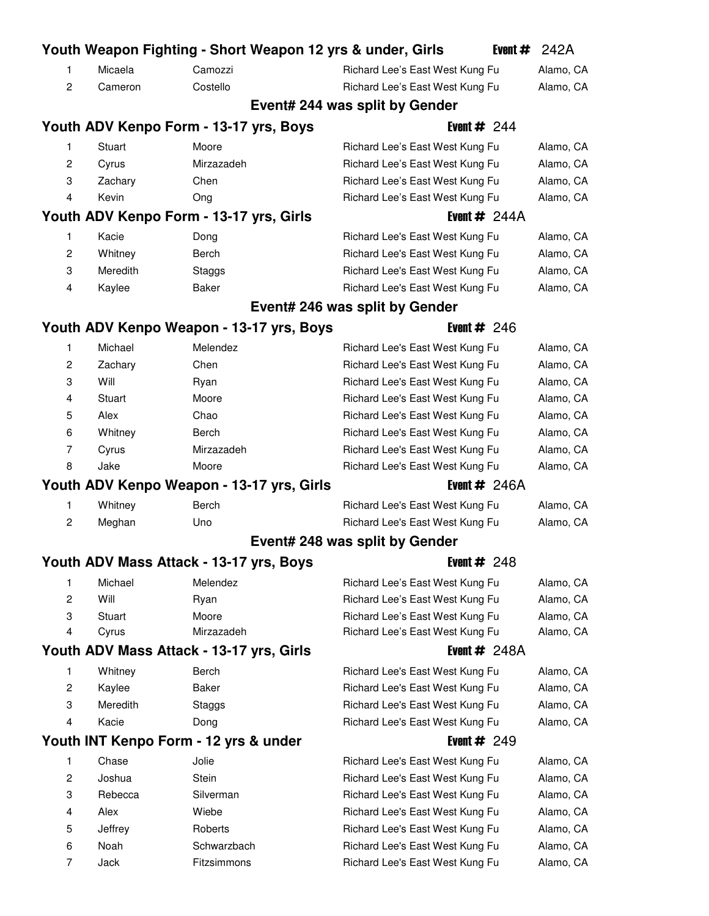|                |               | Youth Weapon Fighting - Short Weapon 12 yrs & under, Girls |                                 | Event # | 242A      |
|----------------|---------------|------------------------------------------------------------|---------------------------------|---------|-----------|
| 1              | Micaela       | Camozzi                                                    | Richard Lee's East West Kung Fu |         | Alamo, CA |
| $\overline{2}$ | Cameron       | Costello                                                   | Richard Lee's East West Kung Fu |         | Alamo, CA |
|                |               |                                                            | Event# 244 was split by Gender  |         |           |
|                |               | Youth ADV Kenpo Form - 13-17 yrs, Boys                     | Event $#244$                    |         |           |
| 1              | Stuart        | Moore                                                      | Richard Lee's East West Kung Fu |         | Alamo, CA |
| $\overline{2}$ | Cyrus         | Mirzazadeh                                                 | Richard Lee's East West Kung Fu |         | Alamo, CA |
| 3              | Zachary       | Chen                                                       | Richard Lee's East West Kung Fu |         | Alamo, CA |
| $\overline{4}$ | Kevin         | Ong                                                        | Richard Lee's East West Kung Fu |         | Alamo, CA |
|                |               | Youth ADV Kenpo Form - 13-17 yrs, Girls                    | Event $# 244A$                  |         |           |
| 1              | Kacie         | Dong                                                       | Richard Lee's East West Kung Fu |         | Alamo, CA |
| $\overline{c}$ | Whitney       | Berch                                                      | Richard Lee's East West Kung Fu |         | Alamo, CA |
| 3              | Meredith      | Staggs                                                     | Richard Lee's East West Kung Fu |         | Alamo, CA |
| 4              | Kaylee        | Baker                                                      | Richard Lee's East West Kung Fu |         | Alamo, CA |
|                |               |                                                            | Event# 246 was split by Gender  |         |           |
|                |               | Youth ADV Kenpo Weapon - 13-17 yrs, Boys                   | Event $\#$ 246                  |         |           |
| 1              | Michael       | Melendez                                                   | Richard Lee's East West Kung Fu |         | Alamo, CA |
| $\overline{2}$ | Zachary       | Chen                                                       | Richard Lee's East West Kung Fu |         | Alamo, CA |
| 3              | Will          | Ryan                                                       | Richard Lee's East West Kung Fu |         | Alamo, CA |
| $\overline{4}$ | Stuart        | Moore                                                      | Richard Lee's East West Kung Fu |         | Alamo, CA |
| 5              | Alex          | Chao                                                       | Richard Lee's East West Kung Fu |         | Alamo, CA |
| 6              | Whitney       | Berch                                                      | Richard Lee's East West Kung Fu |         | Alamo, CA |
| 7              | Cyrus         | Mirzazadeh                                                 | Richard Lee's East West Kung Fu |         | Alamo, CA |
| 8              | Jake          | Moore                                                      | Richard Lee's East West Kung Fu |         | Alamo, CA |
|                |               | Youth ADV Kenpo Weapon - 13-17 yrs, Girls                  | Event $\#$ 246A                 |         |           |
| 1              | Whitney       | <b>Berch</b>                                               | Richard Lee's East West Kung Fu |         | Alamo, CA |
| $\overline{c}$ | Meghan        | Uno                                                        | Richard Lee's East West Kung Fu |         | Alamo, CA |
|                |               |                                                            | Event# 248 was split by Gender  |         |           |
|                |               | Youth ADV Mass Attack - 13-17 yrs, Boys                    | Event $\#$ 248                  |         |           |
| 1              | Michael       | Melendez                                                   | Richard Lee's East West Kung Fu |         | Alamo, CA |
| 2              | Will          | Ryan                                                       | Richard Lee's East West Kung Fu |         | Alamo, CA |
| 3              | <b>Stuart</b> | Moore                                                      | Richard Lee's East West Kung Fu |         | Alamo, CA |
| 4              | Cyrus         | Mirzazadeh                                                 | Richard Lee's East West Kung Fu |         | Alamo, CA |
|                |               | Youth ADV Mass Attack - 13-17 yrs, Girls                   | Event $# 248A$                  |         |           |
| 1              | Whitney       | Berch                                                      | Richard Lee's East West Kung Fu |         | Alamo, CA |
| $\overline{c}$ | Kaylee        | <b>Baker</b>                                               | Richard Lee's East West Kung Fu |         | Alamo, CA |
| 3              | Meredith      | Staggs                                                     | Richard Lee's East West Kung Fu |         | Alamo, CA |
| 4              | Kacie         | Dong                                                       | Richard Lee's East West Kung Fu |         | Alamo, CA |
|                |               | Youth INT Kenpo Form - 12 yrs & under                      | Event $#249$                    |         |           |
| 1              | Chase         | Jolie                                                      | Richard Lee's East West Kung Fu |         | Alamo, CA |
| 2              | Joshua        | Stein                                                      | Richard Lee's East West Kung Fu |         | Alamo, CA |
| 3              | Rebecca       | Silverman                                                  | Richard Lee's East West Kung Fu |         | Alamo, CA |
| 4              | Alex          | Wiebe                                                      | Richard Lee's East West Kung Fu |         | Alamo, CA |
| 5              | Jeffrey       | Roberts                                                    | Richard Lee's East West Kung Fu |         | Alamo, CA |
| 6              | Noah          | Schwarzbach                                                | Richard Lee's East West Kung Fu |         | Alamo, CA |
| 7              | Jack          | Fitzsimmons                                                | Richard Lee's East West Kung Fu |         | Alamo, CA |
|                |               |                                                            |                                 |         |           |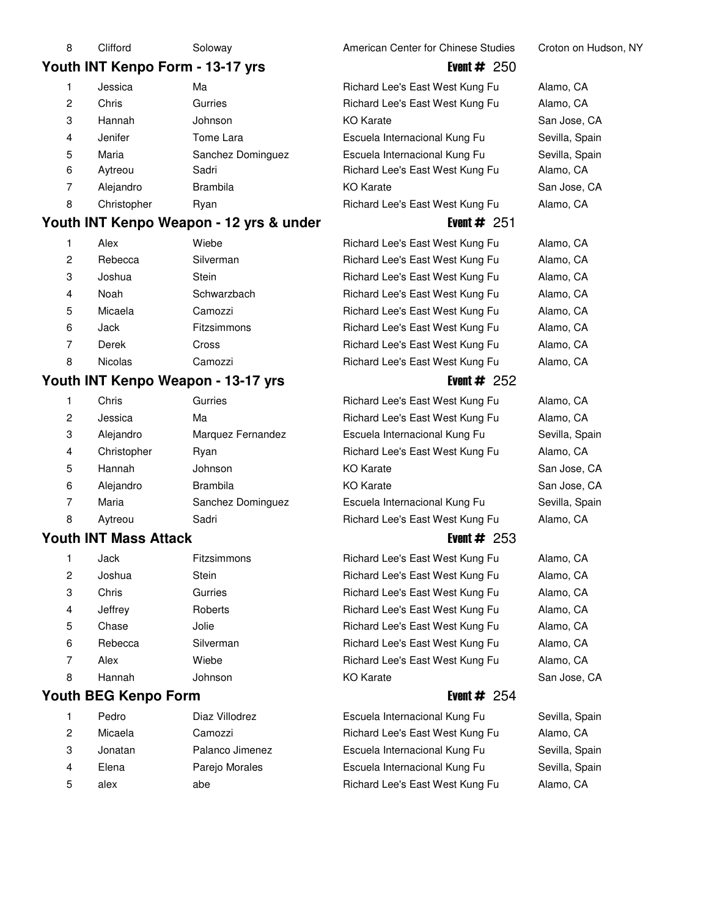## **Youth INT Kenpo Form - 13-17 yrs** Event # 250

|                | Jessica     | Ма                |
|----------------|-------------|-------------------|
| $\overline{c}$ | Chris       | Gurries           |
| 3              | Hannah      | Johnson           |
| 4              | Jenifer     | Tome Lara         |
| 5              | Maria       | Sanchez Dominguez |
| 6              | Aytreou     | Sadri             |
| 7              | Alejandro   | <b>Brambila</b>   |
| 8              | Christopher | Rvan              |
|                |             |                   |

# **Youth INT Kenpo Weapon - 12 yrs & under** Figure 51 Event # 251

| $\mathbf{1}$   | Alex           | Wiebe              | Richard Lee's East West Kung Fu | Alamo, CA |
|----------------|----------------|--------------------|---------------------------------|-----------|
| $\overline{2}$ | Rebecca        | Silverman          | Richard Lee's East West Kung Fu | Alamo, CA |
| 3              | Joshua         | Stein              | Richard Lee's East West Kung Fu | Alamo, CA |
| 4              | Noah           | Schwarzbach        | Richard Lee's East West Kung Fu | Alamo, CA |
| 5              | Micaela        | Camozzi            | Richard Lee's East West Kung Fu | Alamo, CA |
| 6              | Jack           | <b>Fitzsimmons</b> | Richard Lee's East West Kung Fu | Alamo, CA |
| 7              | Derek          | Cross              | Richard Lee's East West Kung Fu | Alamo, CA |
| 8              | <b>Nicolas</b> | Camozzi            | Richard Lee's East West Kung Fu | Alamo, CA |
|                |                |                    |                                 |           |

# **Youth INT Kenpo Weapon - 13-17 yrs Event # 252**

| 1              | Chris       | Gurries           | Richard Lee's East West Kung Fu | Alamo, CA      |
|----------------|-------------|-------------------|---------------------------------|----------------|
| $\overline{2}$ | Jessica     | Ma                | Richard Lee's East West Kung Fu | Alamo, CA      |
| 3              | Alejandro   | Marquez Fernandez | Escuela Internacional Kung Fu   | Sevilla, Spain |
| 4              | Christopher | Rvan              | Richard Lee's East West Kung Fu | Alamo, CA      |
| 5              | Hannah      | Johnson           | <b>KO</b> Karate                | San Jose, CA   |
| 6              | Alejandro   | <b>Brambila</b>   | KO Karate                       | San Jose, CA   |
| 7              | Maria       | Sanchez Dominguez | Escuela Internacional Kung Fu   | Sevilla, Spain |
| 8              | Aytreou     | Sadri             | Richard Lee's East West Kung Fu | Alamo, CA      |
|                |             |                   |                                 |                |

# **Youth INT Mass Attack**

|         | Fitzsimmons |
|---------|-------------|
| Joshua  | Stein       |
| Chris   | Gurries     |
| Jeffrey | Roberts     |
| Chase   | Jolie       |
| Rebecca | Silverman   |
| Alex    | Wiebe       |
| Hannah  | Johnson     |
|         | Jack        |

# **Youth BEG Kenpo Form Event # 254**

| 1 | Pedro   | Diaz Villodrez  |
|---|---------|-----------------|
| 2 | Micaela | Camozzi         |
| 3 | Jonatan | Palanco Jimenez |
| 4 | Elena   | Parejo Morales  |
| 5 | alex    | abe             |
|   |         |                 |

8 Clifford Soloway 10 American Center for Chinese Studies Croton on Hudson, NY

Richard Lee's East West Kung Fu Alamo, CA Richard Lee's East West Kung Fu Alamo, CA 3 Hannah Johnson 65 KO Karate San Jose, CA Escuela Internacional Kung Fu Sevilla, Spain Escuela Internacional Kung Fu Sevilla, Spain Richard Lee's East West Kung Fu Alamo, CA 7 KO Karate **San Jose, CA** Richard Lee's East West Kung Fu Alamo, CA

| Richard Lee's East West Kung Fu |
|---------------------------------|
| Richard Lee's East West Kung Fu |
| Richard Lee's East West Kung Fu |
| Richard Lee's East West Kung Fu |
| Richard Lee's East West Kung Fu |
| Richard Lee's East West Kung Fu |
| Richard Lee's East West Kung Fu |
| Richard Lee's East West Kung Fu |

| Richard Lee's East West Kung Fu | Aŀ |
|---------------------------------|----|
| Richard Lee's East West Kung Fu | Aŀ |
| Escuela Internacional Kung Fu   | Sε |
| Richard Lee's East West Kung Fu | Aŀ |
| KO Karate                       | Sε |
| KO Karate                       | Sε |
| Escuela Internacional Kung Fu   | Sε |
| Richard Lee's East West Kung Fu | Aŀ |
| Event $#253$                    |    |
|                                 |    |

Richard Lee's East West Kung Fu Alamo, CA Richard Lee's East West Kung Fu Alamo, CA Richard Lee's East West Kung Fu Alamo, CA Richard Lee's East West Kung Fu Alamo, CA Richard Lee's East West Kung Fu Alamo, CA Richard Lee's East West Kung Fu Alamo, CA Richard Lee's East West Kung Fu Alamo, CA KO Karate **San Jose, CA** 

Escuela Internacional Kung Fu Sevilla, Spain Richard Lee's East West Kung Fu Alamo, CA Escuela Internacional Kung Fu Sevilla, Spain Escuela Internacional Kung Fu Sevilla, Spain Richard Lee's East West Kung Fu Alamo, CA

| Alamo, CA      |
|----------------|
| Alamo, CA      |
| Sevilla, Spain |
| Alamo, CA      |
| San Jose, CA   |
| San Jose, CA   |
| Sevilla, Spain |
| Alamo, CA      |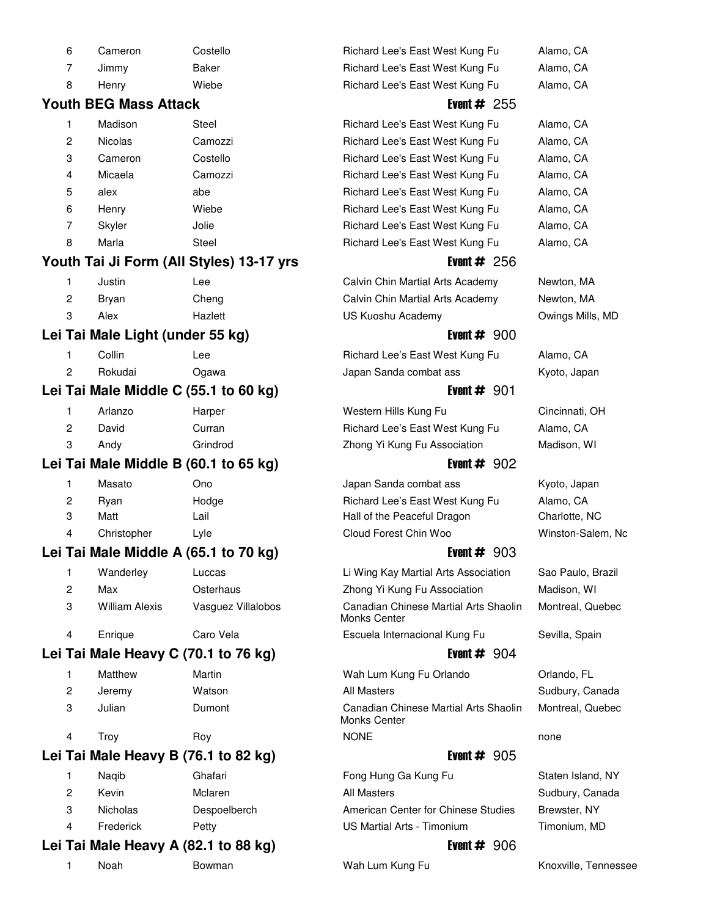| 6              | Cameron                          | Costello                                 | Richard Lee's East West Kung Fu                       | Alamo, CA            |
|----------------|----------------------------------|------------------------------------------|-------------------------------------------------------|----------------------|
| 7              | Jimmy                            | Baker                                    | Richard Lee's East West Kung Fu                       | Alamo, CA            |
| 8              | Henry                            | Wiebe                                    | Richard Lee's East West Kung Fu                       | Alamo, CA            |
|                | <b>Youth BEG Mass Attack</b>     |                                          | Event $\#$ 255                                        |                      |
| 1              | Madison                          | Steel                                    | Richard Lee's East West Kung Fu                       | Alamo, CA            |
| 2              | Nicolas                          | Camozzi                                  | Richard Lee's East West Kung Fu                       | Alamo, CA            |
| 3              | Cameron                          | Costello                                 | Richard Lee's East West Kung Fu                       | Alamo, CA            |
| 4              | Micaela                          | Camozzi                                  | Richard Lee's East West Kung Fu                       | Alamo, CA            |
| 5              | alex                             | abe                                      | Richard Lee's East West Kung Fu                       | Alamo, CA            |
| 6              | Henry                            | Wiebe                                    | Richard Lee's East West Kung Fu                       | Alamo, CA            |
| 7              | Skyler                           | Jolie                                    | Richard Lee's East West Kung Fu                       | Alamo, CA            |
| 8              | Marla                            | Steel                                    | Richard Lee's East West Kung Fu                       | Alamo, CA            |
|                |                                  | Youth Tai Ji Form (All Styles) 13-17 yrs | Event $\#$ 256                                        |                      |
| 1              | Justin                           | Lee                                      | Calvin Chin Martial Arts Academy                      | Newton, MA           |
| 2              | Bryan                            | Cheng                                    | Calvin Chin Martial Arts Academy                      | Newton, MA           |
| 3              | Alex                             | Hazlett                                  | US Kuoshu Academy                                     | Owings Mills, MD     |
|                | Lei Tai Male Light (under 55 kg) |                                          | Event $# 900$                                         |                      |
|                |                                  |                                          |                                                       |                      |
| 1              | Collin                           | Lee                                      | Richard Lee's East West Kung Fu                       | Alamo, CA            |
| 2              | Rokudai                          | Ogawa                                    | Japan Sanda combat ass                                | Kyoto, Japan         |
|                |                                  | Lei Tai Male Middle C (55.1 to 60 kg)    | Event $# 901$                                         |                      |
| 1              | Arlanzo                          | Harper                                   | Western Hills Kung Fu                                 | Cincinnati, OH       |
| 2              | David                            | Curran                                   | Richard Lee's East West Kung Fu                       | Alamo, CA            |
| 3              | Andy                             | Grindrod                                 | Zhong Yi Kung Fu Association                          | Madison, WI          |
|                |                                  | Lei Tai Male Middle B (60.1 to 65 kg)    | Event $# 902$                                         |                      |
| 1              | Masato                           | Ono                                      | Japan Sanda combat ass                                | Kyoto, Japan         |
| $\overline{2}$ | Ryan                             | Hodge                                    | Richard Lee's East West Kung Fu                       | Alamo, CA            |
| 3              | Matt                             | Lail                                     | Hall of the Peaceful Dragon                           | Charlotte, NC        |
| 4              | Christopher                      | Lyle                                     | Cloud Forest Chin Woo                                 | Winston-Salem, Nc    |
|                |                                  | Lei Tai Male Middle A (65.1 to 70 kg)    | Event $#$<br>903                                      |                      |
| 1              | Wanderley                        | Luccas                                   | Li Wing Kay Martial Arts Association                  | Sao Paulo, Brazil    |
| 2              | Max                              | Osterhaus                                | Zhong Yi Kung Fu Association                          | Madison, WI          |
| 3              | <b>William Alexis</b>            | Vasguez Villalobos                       | Canadian Chinese Martial Arts Shaolin<br>Monks Center | Montreal, Quebec     |
| 4              | Enrique                          | Caro Vela                                | Escuela Internacional Kung Fu                         | Sevilla, Spain       |
|                |                                  | Lei Tai Male Heavy C (70.1 to 76 kg)     | Event $# 904$                                         |                      |
| 1              | Matthew                          | Martin                                   | Wah Lum Kung Fu Orlando                               | Orlando, FL          |
| 2              | Jeremy                           | Watson                                   | <b>All Masters</b>                                    | Sudbury, Canada      |
| 3              | Julian                           | Dumont                                   | Canadian Chinese Martial Arts Shaolin<br>Monks Center | Montreal, Quebec     |
| 4              | Troy                             | Roy                                      | <b>NONE</b>                                           | none                 |
|                |                                  | Lei Tai Male Heavy B (76.1 to 82 kg)     | Event $# 905$                                         |                      |
| 1              | Naqib                            | Ghafari                                  | Fong Hung Ga Kung Fu                                  | Staten Island, NY    |
| 2              | Kevin                            | Mclaren                                  | <b>All Masters</b>                                    | Sudbury, Canada      |
| 3              | <b>Nicholas</b>                  | Despoelberch                             | American Center for Chinese Studies                   | Brewster, NY         |
| 4              | Frederick                        | Petty                                    | US Martial Arts - Timonium                            | Timonium, MD         |
|                |                                  | Lei Tai Male Heavy A (82.1 to 88 kg)     | Event $\#$ 906                                        |                      |
| 1              | Noah                             | Bowman                                   | Wah Lum Kung Fu                                       | Knoxville, Tennessee |
|                |                                  |                                          |                                                       |                      |